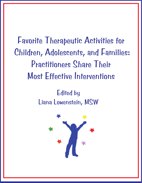Favorite Therapeutic Activities for Children, Adolescents, and Families: Practitioners Share Their Most Effective Interventions

> Edited by Liana Lowenstein, MSW

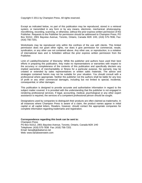Copyright © 2011 by Champion Press. All rights reserved.

Except as indicated below, no part of this publication may be reproduced, stored in a retrieval system, or transmitted in any form or by any means, electronic, mechanical, photocopying, microfilming, recording, scanning, or otherwise, without the prior express written permission of the Publisher. Requests to the Publisher for permission should be addressed to Champion Press, PO Box 91012, 2901 Bayview Avenue, Toronto, Ontario, Canada M2K 1H0, (416) 575-7836, Fax: (416) 756-7201.

Worksheets may be reproduced only within the confines of the use with clients. This limited permission does not grant other rights, nor does it give permission for commercial, resale, syndication, or any other use not contained above. Any other use, or reproduction, is a violation of international laws and is forbidden without the prior express written permission from the Publisher.

Limit of Liability/Disclaimer of Warranty: While the publisher and authors have used their best efforts in preparing this publication, they make no representations or warranties with respect to the accuracy or completeness of the contents of this publication and specifically disclaim any implied warranties of merchantability or fitness for a particular purpose. No warranty may be created or extended by sales representatives or written sales materials. The advice and strategies contained herein may not be suitable for your situation. You should consult with a professional where appropriate. Neither the publisher not the authors shall be liable for any loss of profit or any other commercial damages, including but not limited to special, incidental, consequential, or other damages.

This publication is designed to provide accurate and authoritative information in regard to the subject matter covered. It is provided with the understanding that the publisher is not engaged in rendering professional services. If legal, accounting, medical, psychological or any other expert assistance is required, the services of a competent professional person should be sought.

Designations used by companies to distinguish their products are often claimed as trademarks. In all instances where Champion Press is aware of a claim, the product names appear in initial capital or all capital letters. Readers, however, should contact the appropriate companies for complete information regarding trademarks and registration.

**Correspondence regarding this book can be sent to:**  Champion Press PO Box 91012, 2901 Bayview Avenue, Toronto, Ontario, Canada M2K 1H0 Telephone: (416) 575-7836 Fax: (416) 756-7201 Email: liana@globalserve.net Web: www.lianalowenstein.com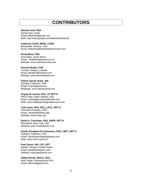## **CONTRIBUTORS**

#### **Shlomo Ariel, PhD**

Ramat Gan, Israel Email: wbshrink@gmail.com Web: http://sites.google.com/site/drshlomoariel

#### **Katherine Arkell, MSW, LCSW**

Bentonville, Arizona, USA Email: katherinea@vistahealthservices.com

#### **Rinda Blom, PhD**

Free State, South-Africa Email: rindablom@ananzi.co.za Website: www.redshoecentre.com

#### **Donicka Budd, CYW**

Toronto, Ontario, Canada Email: dbudd25@hotmail.com Website: www.donickabudd.com

**Felicia Carroll, M.Ed., MA**  Solvang, California, USA Email: Fcarroll@west.net Webpage: www.feliciacarroll.com

#### **Angela M. Cavett, PhD, LP, RPT-S**

West Fargo, North Dakota, USA Email: acavett@koamentalhealth.com Web: www.childpsychologicalservices.com

#### **Jodi Crane, PhD, NCC, LPCC, RPT-S**

Columbia Kentucky, USA Email: cranejo@lindsey.edu Website: www.ac4pt.org

#### **David A. Crenshaw, PhD, ABPP, RPT-S**

Rhinebeck, New York, USA Website: www.rhinebeckcfc.com

#### **Gisela Schubach De Domenico, PhD, LMFT, RPT-S**

Oakland, California, USA Email: sandtrayworldplay@gmail.com Web: www.vision-quest.us

#### **Pam Dyson, MA, LPC, RPT**

Ballwin, Missouri United States Email: pam@pamdyson.com Website: www.pamdyson.com

#### **Abbie Flinner, MACC, NCC**

New Castle, Pennsylvania USA Email: aflinner@gmail.com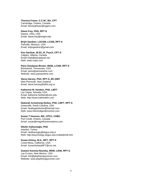#### **Theresa Fraser, C.C.W., BA, CPT**

Cambridge, Ontario, Canada Email: theresafraser@rogers.com

#### **Diane Frey, PhD, RPT-S**

Dayton, Ohio, USA Email: diane.frey@wright.edu

#### **Brijin Gardner, LSCSW, LCSW, RPT-S**

Parkville, Missouri, USA Email: brijingardner@gmail.com

#### **Ken Gardner, M.SC.,R. Psych, CPT-S**

Calgary, Alberta, Canada Email rmpti@telusplanet.net Web: www.rmpti.com

#### **Paris Goodyear-Brown, MSW, LCSW, RPT-S**

Brentwood, Tennessee, USA Email: paris@parisandme.com Website: www.parisandme.com

#### **Steve Harvey, PhD, RPT-S, BC-DMT**

New Plymouth, New Zealand Email: steve.harvey@tdhb.org.nz

#### **Katherine M. Hertlein, PhD, LMFT**

Las Vegas, Nevada, USA Email: katherine.hertlein@unlv.edu Web: http://www.kathertlein.com

#### **Deborah Armstrong Hickey, PhD, LMFT, RPT-S**

Greenville, South Carolina, USA Email: healingartdoctor@hotmail.com Web: www.themindgardencentre.com

#### **Susan T Howson, MA, CPCC, CHBC**

Port Credit, Ontario, Canada Email: susan@magnificentcreations.com

#### **Nilufer Kafescioglu, PhD**

Istanbul, Turkey Email: nkafescioglu@dogus.edu.tr Web: http://psychology.dogus.edu.tr/akademik.htm

#### **Susan Kelsey, M.S., MFT, RPT-S**

Costa Mesa, California, USA Email: SusanKelseyMFT@cox.net

#### **Sueann Kenney-Noziska, MSW, LISW, RPT-S**

Las Cruces, New Mexico, USA Email: info@playtherapycorner.com Website: www.playtherapycorner.com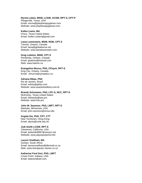#### **Norma Leben, MSW, LCSW, ACSW, RPT-S, CPT-P**

Pflugerville, Texas, USA Email: norma@playtherapygames.com Website: www.playtherapygames.com

#### **Kellen Lewis, MA**

Frisco, Texas United States Email: Kellen.Leilani@gmail.com

#### **Liana Lowenstein, MSW, RSW, CPT-S**

Toronto, Ontario, Canada Email: liana@globalserve.net Website: www.lianalowenstein.com

#### **Greg Lubimiv, MSW, CPT-S**

Pembroke, Ontario, Canada Email: glubimiv@hotmail.com Web: www.lubimiv.ca

**Evangeline Munns, PhD, CPsych, RPT-S**  King City, Ontario, Canada

Email: emunns@sympatico.ca

#### **Adriana Ribas, PhD**

Rio de Janeiro, Brazil Email: aribas@globo.com Website: www.quartetoeditora.com.br

#### **Brandy Schumann, PhD, LPC-S, NCC, RPT-S**

McKinney, Texas United States Email: drbrandy@tots.pro Website: www.tots.pro

#### **John W. Seymour, PhD, LMFT, RPT-S**

Mankato, Minnesota, USA Email: john.seymour@mnsu.edu

#### **Angela Siu, PhD, CPT, CTT**  New Territories, Hong Kong

Email: afysiu@cuhk.edu.hk

#### **Jodi Smith LCSW, RPT-S**

Claremont, California, USA Email: jodismith8997@verizon.net Website**:** www.playispowerful.info

#### **Lauren Snailham, MA**

Durban, South Africa Email: laurensnailham@dbnmail.co.za Web: www.therapeutic stories.co.za

#### **Katherine Ford Sori, PhD, LMFT**

Crown Point, Indiana, USA Email: katesori@aol.com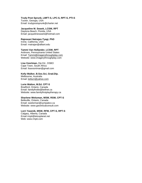**Trudy Post Sprunk, LMFT-S, LPC-S, RPT-S, PTI-S** 

Tucker, Georgia, USA Email: trudypostsprunk@charter.net

**Jacqueline M. Swank, LCSW, RPT**  Daytona Beach, Florida, USA Email: jacquelineswank@hotmail.com

**Rajeswari Natrajan-Tyagi, PhD**  Irvine, California, USA Email: rnatrajan@alliant.edu

**Tammi Van Hollander, LCSW, RPT**  Ardmore, Pennsylvania United States Email: Tammi@imagerythroughplay.com Website: www.imagerythroughplay.com

**Lisa Voortman,** Dip Ed., DSBO Cape Town, South Africa Email: lisavoortman@gmail.com

**Kelly Walker, B.Soc.Sci, Grad.Dip.**  Melbourne, Australia Email: kelturn@yahoo.com

**Lorie Walton, M.Ed. CPT-S**  Bradford, Ontario, Canada Email: familyfirstlw@bellnet.ca Website: www.familyfirstplaytherapy.ca

#### **Sharlene Weitzman, MSW, RSW, CPT-S**

Belleville, Ontario, Canada Email: sweitzman@sympatico.ca Website: www.gwclinicalconsult.com

**Lorri Yasenik, MSW, RFM, CPT-S, RPT-S** 

Calgary, Alberta, Canada Email rmpti@telusplanet.net Web: www.rmpti.com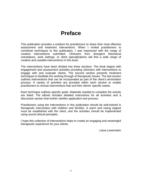# **Preface**

This publication provides a medium for practitioners to share their most effective assessment and treatment interventions. When I invited practitioners to contribute techniques to this publication, I was impressed with the range of creative interventions submitted. Clinicians from divergent theoretical orientations, work settings, or client specializations will find a wide range of creative and useable interventions in this book.

The interventions have been divided into three sections. The book begins with engagement and assessment activities providing clinicians with interventions to engage with and evaluate clients. The second section presents treatment techniques to facilitate the working through of therapeutic issues. The last section outlines interventions that can be incorporated as part of the client's termination process. A variety of activities are provided within each section to enable practitioners to choose interventions that suit their clients' specific needs.

Each technique outlines specific goals. Materials needed to complete the activity are listed. The eBook includes detailed instructions for all activities and a discussion section that further clarifies application and process.

Practitioners using the interventions in this publication should be well-trained in therapeutic intervention with children and families. A warm and caring rapport must be established with the client, and the activities should be implemented using sound clinical principles.

I hope this collection of interventions helps to create an engaging and meaningful therapeutic experience for your clients.

*Liana Lowenstein*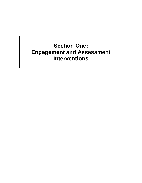# **Section One: Engagement and Assessment Interventions**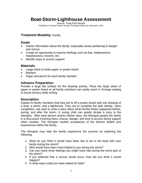# **Boat-Storm-Lighthouse Assessment**

Source: Trudy Post Sprunk Published in *Creative Family Therapy Techniques* Edited by Lowenstein, 2010

## **Treatment Modality:** Family

## **Goals**

- Gather information about the family, especially issues pertaining to danger and rescue
- Create an opportunity to express feelings such as fear, helplessness, hopelessness, bravery, etc.
- Identify ways to access support

## **Materials**

- Large sheet of white paper or poster board
- Markers
- Paper and pencil for each family member

## **Advance Preparation**

Provide a large flat surface for the drawing activity. Place the large sheet of paper or poster board so all family members can easily reach it. Arrange seating to insure privacy while writing.

#### **Description**

Explain to family members that they are to fill a poster board with one drawing of a boat, a storm, and a lighthouse. They are to complete the task silently. Upon completion, ask each to write a story about what he/she thinks happened before, during, and after the storm. A young child can quietly dictate a story to the therapist. After each person shares his/her story, the therapist guides the family in a discussion involving fears, rescue, danger, and how to access family support when needed. The therapist models acceptance of the diverse beliefs and experiences within the family.

The therapist may help the family experience the process by exploring the following:

- 1. What do you think it would have been like to be in the boat with your family during the storm?
- 2. Who would have been most helpful to you during the storm?
- 3. Can you name three feelings you might have had during the worst part of the storm?
- 4. If you believed that a rescue would occur, how did you think it would happen?
- 5. In what ways could you have asked for help?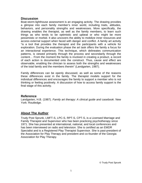## **Discussion**

Boat-storm-lighthouse assessment is an engaging activity. The drawing provides a glimpse into each family member's inner world, including traits, attitudes, behaviors, and personality strengths and weaknesses. More specifically, the drawing enables the therapist, as well as the family members, to learn such things as who tends to be optimistic and upbeat or who might be more pessimistic or morbid. It also uncovers the ability to mobilize inner resources and access external support when faced with danger and conflict. A family art activity "is a tool that provides the therapist and the participants with a vehicle for exploration. During the evaluation phase the art task offers the family a focus for an interactional experience. This technique, which delineates communication patterns, is viewed primarily through the process and secondarily through the content… From the moment the family is involved in creating a product, a record of each action is documented onto the construct. Thus, cause and effect are observable, enabling the clinician to assess both the strengths and weaknesses of the total family and the members therein" (Landgarten, 1987).

Family differences can be openly discussed, as well as some of the reasons these differences exist in the family. The therapist models support for the individual differences and encourages the family to support a member who is not thinking or feeling positively. A discussion of how to access family support is the final stage of this activity.

#### **Reference**

Landgarten, H.B. (1987). *Family art therapy: A clinical guide and casebook*. New York: Routledge.

## **About The Author**

Trudy Post Sprunk, LMFT-S, LPC-S, RPT-S, CPT-S, is a Licensed Marriage and Family Therapist and Supervisor who has been practicing psychotherapy since 1971. She has presented at international, national, and local conferences and has been interviewed on radio and television. She is certified as an EMDR Specialist and is a Registered Play Therapist Supervisor. She is past-president of the Association for Play Therapy and president and co-founder of the Georgia Association for Play Therapy.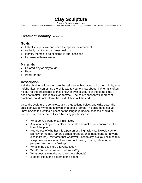# **Clay Sculpture**

Source: Sharlene Weitzman

Published in Assessment & Treatment Activities for Children, Adolescents, and Families Vol 1 Edited by Lowenstein, 2008

## **Treatment Modality**: Individual

## **Goals**

- Establish a positive and open therapeutic environment
- Verbally identify and express feelings
- Identify themes to be explored in later sessions
- Increase self-awareness

#### **Materials**

- Colored clay or playdough
- Paper
- Pencil or pen

## **Description**

Ask the child to build a sculpture that tells something about who the child is, what he/she likes, or something the child wants you to know about him/her. It is often helpful for the practitioner to make his/her own sculpture at the same time. It does not matter if it is realistic or abstract. The colors chosen will represent emotions, but do not inform the child of this until the end.

Once the sculpture is complete, ask the questions below, and write down the child's answers. Write the answers in a poetic format. The child does not yet know he/she is creating a poem so the language he/she chooses should be honored but can be embellished by using poetic license.

- What do you want to call this (title)?
- Ask what feeling each color represents and make each answer another line of the poem.
- Regardless of whether it is a person or thing, ask what it would say to it's/his/her mother, father, siblings, grandparents, best friend (or anyone else in its life). Reinforce that whatever it has to say is okay because this sculpture can say what it feels without having to worry about other people's reactions or feelings.
- What is the sculpture's favorite food?
- What/who does it like and not like? Why?
- What does it want the world to know about it?
- (Repeat title at the bottom of the poem.)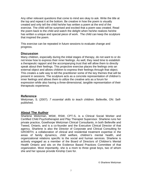Any other relevant questions that come to mind are okay to ask. Write the title at the top and repeat it at the bottom. Be creative in how the poem is visually created and only tell the child he/she has written a poem at the end of the exercise. The child will be surprised and excited that a poem was created. Read the poem back to the child and watch the delight when he/she realizes he/she has written a unique and special piece of work. The child can keep the sculpture that inspired the poem.

This exercise can be repeated in future sessions to evaluate change and progress.

## **Discussion**

Many children, especially during the initial stages of therapy, do not want to or do not know how to express their inner feelings. As well, they need time to establish a therapeutic rapport and the accompanying trust that will allow them to directly speak about their feelings. This projective exercise places the feelings onto an external object and allows children to express their feelings through that object. This creates a safe way to tell the practitioner some of the key themes that will be present in sessions. The sculpture acts as a concrete representation of children's inner feelings and allows them to utilize the creative arts as a forum for expression while also having a three-dimensional, tangible representation of their therapeutic experience.

## **Reference**

Weitzman, S. (2007). *7 essential skills to teach children.* Belleville, ON: Selfpublished.

## **About The Author**

Sharlene Weitzman, MSW, RSW, CPT-S, is a Clinical Social Worker and Certified Child Psychotherapist and Play Therapist Supervisor. Sharlene runs her private practice, Gowthorpe Weitzman Clinical Consultants, in both Belleville and Tweed, Ontario, and is a co-founder and the Executive Clinical Director of that agency. Sharlene is also the Director of Corporate and Clinical Consulting for GROWTH, a collaboration of clinical and residential treatment expertise in the areas of family dynamics, child welfare, children's mental health, and organizational relations specific to the social and human services. Sharlene is actively engaged as a member of the Board of Directors of Children's Mental Health Ontario and sits on the Evidence Based Practices Committee of that organization. Most importantly, she is a mom to three great boys, two of whom she and her spouse provide Kinship Care for.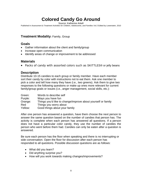# **Colored Candy Go Around**

Source: Katherine Arkell

Published in Assessment & Treatment Activities for Children, Adolescents, and Families Vol 2 Edited by Lowenstein, 2010

## **Treatment Modality:** Family, Group

## **Goals**

- Gather information about the client and family/group
- Increase open communication
- Identify areas of change or improvement to be addressed

## **Materials**

• Packs of candy with assorted colors such as SKITTLES® or jelly beans

## **Description**

Distribute 10-15 candies to each group or family member. Have each member sort their candy by color with instructions not to eat them. Ask one member to pick a color and tell how many they have (i.e., two greens). Ask them to give two responses to the following questions or make up ones more relevant for current family/group goals or issues (i.e., anger management, social skills, etc.):

| Green:  | Words to describe self                                       |
|---------|--------------------------------------------------------------|
| Purple: | Ways you have fun                                            |
| Orange: | Things you'd like to change/improve about yourself or family |
| Red     | Things you worry about                                       |
| Yellow: | Good things about your family                                |
|         |                                                              |

After one person has answered a question, have them choose the next person to answer the same question based on the number of candies that person has. The activity is complete when each person has answered all questions. If a person does not have a particular color candy, they use the number of candies the person who went before them had. Candies can only be eaten after a question is answered.

Be sure each person has the floor when speaking and there is no interrupting or side conversation. Open the floor for discussion after each person has responded to all questions. Possible discussion questions are as follows:

- What did you learn?
- Did anything surprise you?
- How will you work towards making changes/improvements?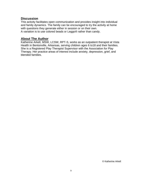## **Discussion**

This activity facilitates open communication and provides insight into individual and family dynamics. The family can be encouraged to try the activity at home with questions they generate either in session or on their own. A variation is to use colored beads or Leggo® rather than candy.

#### **About The Author**

Katherine Arkell, MSW, LCSW, RPT-S, works as an outpatient therapist at Vista Health in Bentonville, Arkansas, serving children ages 6 to18 and their families. She is a Registered Play Therapist Supervisor with the Association for Play Therapy. Her practice areas of interest include anxiety, depression, grief, and blended families.

© Katherine Arkell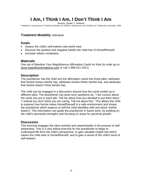# **I Am, I Think I Am, I Don't Think I Am**

Source: Susan T. Howson

Published in Assessment & Treatment Activities for Children, Adolescents, and Families Vol 1 Edited by Lowenstein, 2008

## **Treatment Modality**: Individual

## **Goals**

- Assess the child's self-esteem and world view
- Discover the positive and negative beliefs the child has of himself/herself
- Increase values vocabulary

#### **Materials**

One set of Manifest Your Magnificence Affirmation Cards for Kids (to order go to www.magnificentcreations.com or call 1-866-511-3411)

## **Description**

The practitioner has the child sort the affirmation cards into three piles: attributes that he/she knows she/he has, attributes he/she thinks he/she has, and attributes that he/she doesn't think he/she has.

The child can be engaged in a discussion around how the cards ended up in different piles. The practitioner can pose such questions as, "I am curious about the cards you put in each pile. Tell me about how you decided to put them there." "I noticed you don't think you are caring. Tell me about this." This allows the child to express how he/she views himself/herself in a safe environment and shows the practitioner which aspects of self the child identifies with and which she/he doesn't. This information can guide the practitioner in future work, by building on the child's perceived strengths and focusing on areas for personal growth.

## **Discussion**

This exercise engages the client actively and experientially in the process of selfawareness. This is a very telling exercise for the practitioner to begin to understand life from the child's perspective, to gain valuable insight into which values the child sees in himself/herself, and to gain a sense of the child's level of self-esteem.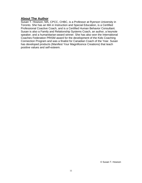## **About The Author**

Susan T. Howson, MA, CPCC, CHBC, is a Professor at Ryerson University in Toronto. She has an MA in Instruction and Special Education, is a Certified Professional Coactive Coach, and is a Certified Human Behavior Consultant. Susan is also a Family and Relationship Systems Coach, an author, a keynote speaker, and a humanitarian-award winner. She has also won the International Coaches Federation PRISM award for the development of the Kids Coaching Connection Program and was a finalist for Canadian Coach of the Year. Susan has developed products (Manifest Your Magnificence Creations) that teach positive values and self-esteem.

© Susan T. Howson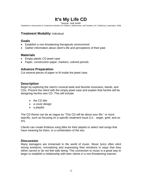# **It's My Life CD**

Source: Jodi Smith

Published in Assessment & Treatment Activities for Children, Adolescents, and Families Vol 1 Edited by Lowenstein, 2008

## **Treatment Modality**: Individual

## **Goals**

- Establish a non-threatening therapeutic environment
- Gather information about client's life and perceptions of their past

## **Materials**

- Empty plastic CD jewel case
- Paper, construction paper, markers, colored pencils

## **Advance Preparation**

Cut several pieces of paper to fit inside the jewel case.

## **Description**

Begin by exploring the client's musical taste and favorite musicians, bands, and CDs. Present the client with the empty jewel case and explain that he/she will be designing her/his own CD. This will include:

- the CD title
- a cover design
- a playlist

The CD theme can be as vague as "This CD will be about your life," or more specific, such as focusing on a specific treatment issue (i.e., anger, grief, and so on).

Clients can create fictitious song titles for their playlist or select real songs that have meaning for them, or a combination of the two.

## **Discussion**

Many teenagers are immersed in the world of music. Music lyrics often elicit strong emotions, normalizing and expressing their emotions in ways that they either cannot or do not feel safe doing. This connection to music is a great way to begin to establish a relationship with teen clients in a non-threatening manner.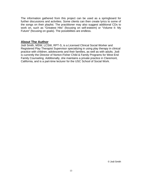The information gathered from this project can be used as a springboard for further discussions and activities. Some clients can then create lyrics to some of the songs on their playlist. The practitioner may also suggest additional CDs to work on, such as "Greatest Hits" (focusing on self-esteem) or "Volume II: My Future" (focusing on goals). The possibilities are endless.

#### **About The Author**

Jodi Smith, MSW, LCSW, RPT-S, is a Licensed Clinical Social Worker and Registered Play Therapist Supervisor specializing in using play therapy in clinical practice with children, adolescents and their families, as well as with adults. Jodi is currently the Director of Norton-Fisher Child & Family Programs for West End Family Counseling. Additionally, she maintains a private practice in Claremont, California, and is a part-time lecturer for the USC School of Social Work.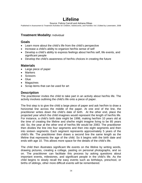# **Lifeline**

Source: Felicia Carroll and Adriana Ribas

Published in Assessment & Treatment Activities for Children, Adolescents, and Families Vol 1 Edited by Lowenstein, 2008

## **Treatment Modality:** Individual

## **Goals**

- Learn more about the child's life from the child's perspective
- Increase a child's ability to organize her/his sense of self
- Develop a child's ability to express feelings about her/his self, life events, and significant people
- Develop the child's awareness of her/his choices in creating the future

#### **Materials**

- Large piece of paper
- Markers
- Scissors
- Glue
- Magazines
- Scrap items that can be used for art

## **Description**

The practitioner invites the child to take part in an activity about her/his life. The activity involves outlining the child's life onto a piece of paper.

The first step is to give the child a large piece of paper and ask her/him to draw a horizontal line across the middle of the paper. At one end of the line, the practitioner writes down the child's date of birth. At the other end, place the projected year which the child imagines would represent the length of her/his life. For instance, a child's birth date might be 1998, making her/him 10 years old at the time of creating the lifeline and she/he might imagine living to be 85 years old. So, the year at the other end of her/his life would be 2083. The practitioner then divides the line into four segments and then into eight segments and then into sixteen segments. Each segment represents approximately 5 years of the child's life. The practitioner then draws a second line the same length as the lifeline that represents the age of the child. So it begins with the birth date and ends with age 10. This allows more space for the details of the child's life.

The child then illustrates significant life events on the lifeline by writing words, drawing pictures, creating a collage, pasting on personal photographs, and so on. The practitioner can facilitate this process by asking questions about important events, milestones, and significant people in the child's life. As the child begins to slowly recall the easy events such as birthdays, preschool, or births of siblings, other more difficult events will be remembered.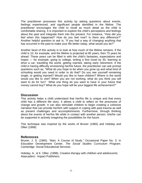The practitioner processes this activity by asking questions about events, feelings experienced, and significant people identified in the lifeline. The practitioner encourages the child to recall as much detail as the child is comfortable sharing. It is important to explore the child's perceptions and feelings about the past and integrate them into the present. For instance, "How did you feel when this happened? How do you feel now? Is there any difference?" Another helpful question to ask is, "If you had a way of changing anything that has occurred in the past to make your life better today, what would you do?"

Another facet of this activity is to look at how much of the lifeline remains. If the child is 10, for example, and the lifeline is projected at 85 years, then 75 years lie ahead. These years can be filled in with the child's fantasies, expectations and hopes — for example, going to college, writing a first novel by 30, learning to drive a car, travelling the world, getting married, taking early retirement. If the child is having difficulty envisioning her/his future, the practitioner can ask prompt questions such as, "What do you hope to be when you grow up and what kind of schooling would you need in order to do that? Do you see yourself remaining single, or getting married? Would you like to have children? Where in the world would you like to visit? When you are not working, what do you think you will want to do for fun? What one thing do you want to have in your future that money cannot buy? What do you hope will be your biggest life achievement?"

#### **Discussion**

This activity helps a child understand that her/his life is unique and that every child has a different life story. It allows a child to reflect on the processes of change and growth. It can also stimulate children to begin creating a cohesive narrative that can provide her/him with support in coping with past trauma as well as present challenges and accomplishments. Furthermore, through thinking about the events of her/his life while in contact with another person, she/he can be supported in actively imagining the possibilities for the future.

This technique was inspired by the works of Bruner (1965) and Hobday and Ollier (1998).

#### **References**

Bruner, J. S. (1965). "Man: A Course of Study." Occasional Paper No. 3. In Education Development Center, *The Social Studies Curriculum Program.* Cambridge: Social Educational Services.

Hobday, A., & K. Ollier. (1998). *Creative therapy with children and adolescents.* Atascadero: Impact Publishers.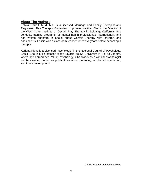## **About The Authors**

Felicia Carroll, MEd, MA, is a licensed Marriage and Family Therapist and Registered Play Therapist-Supervisor in private practice. She is the Director of the West Coast Institute of Gestalt Play Therapy in Solvang, California. She conducts training programs for mental health professionals internationally and has written chapters in books about Gestalt Therapy with children and adolescents. Felicia was a classroom teacher for twelve years before becoming a therapist.

Adriana Ribas is a Licensed Psychologist in the Regional Council of Psychology, Brazil. She is full professor at the Estacio de Sa University in Rio de Janeiro, where she earned her PhD in psychology. She works as a clinical psychologist and has written numerous publications about parenting, adult-child interaction, and infant development.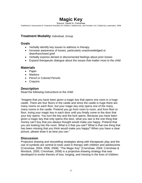# **Magic Key**

Source: David A. Crenshaw

Published in Assessment & Treatment Activities for Children, Adolescents, and Families Vol 1 Edited by Lowenstein, 2008

## **Treatment Modality:** Individual, Group

#### **Goals**

- Verbally identify key issues to address in therapy
- Increase awareness of losses, particularly unacknowledged or disenfranchised grief
- Verbally express denied or disconnected feelings about prior losses
- Expand therapeutic dialogue about the issues that matter most to the child

## **Materials**

- Paper
- Markers
- Pencil or Colored Pencils
- Crayons

#### **Description**

Read the following instructions to the child:

"Imagine that you have been given a magic key that opens one room in a huge castle. There are four floors in the castle and since the castle is huge there are many rooms on each floor, but your magic key only opens one of the many, many rooms in the castle. Pretend you go from room to room, and from floor to floor, trying your magic key in each door until you finally come to the door that your key opens. You turn the key and the lock opens. Because you have been given a magic key that only opens this door, what you see is the one thing that money can't buy that you always thought would make you happy. Pretend that you are looking into the room. What is it that you see? What is that one thing that has been missing that you think would make you happy? When you have a clear picture, please draw it as best you can."

## **Discussion**

Projective drawing and storytelling strategies along with therapeutic play and the use of symbols are central to tools used in therapy with children and adolescents (Crenshaw, 2004; 2006; 2008). "The Magic Key" (Crenshaw, 2004; Crenshaw & Mordock, 2005; Crenshaw, 2008) is a projective drawing strategy that was developed to evoke themes of loss, longing, and missing in the lives of children.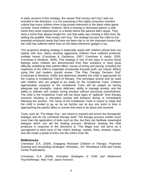In early versions of this strategy, the caveat "that money can't buy" was not included in the directions. It is not surprising in this highly consumer-oriented culture that many children drew a big-screen television or the latest video game console. Some children, however, drew a missing or deceased parent, a safe home they never experienced, or a family where the parents didn't argue. They drew a home they always longed for, one that sadly was missing in their lives. By adding the qualifier "that money can't buy," the strategy focuses the child on the essential emotional needs that have not been met or on the important losses that the child has suffered rather than on the latest electronic gadget or toy.

This projective drawing strategy is especially useful with children whose lives are replete with loss. Many severely aggressive children have suffered profound, multiple losses (Crenshaw & Garbarino, 2007; Crenshaw & Hardy, 2005; Crenshaw & Mordock, 2005). This strategy is one of the ways to access these feelings when children are disconnected from their emotions or have great difficulty verbalizing their painful affect. Issues of timing and pacing, including the readiness of the child to undertake emotionally focused work, are critical. Before using this tool readers should review "The Play Therapy Decision Grid" (Crenshaw & Mordock, 2005) and determine whether the child is appropriate for the Coping or Invitational Track of therapy. This technique should only be used with children who are judged to be ready for the Invitational Track. Children appropriately assigned to the Invitational Track will be judged as having adequate ego strengths, mature defenses, ability to manage anxiety, and the ability to tolerate and contain strong emotion without becoming overwhelmed. The child in the Invitational Track will not show signs of "spillover" from therapy sessions resulting in disruptive anxiety and behavior during or immediately following the session. The name of the Invitational Track is meant to imply that the child is invited to go as far as he/she can at any one point in time in approaching the painful affect or events that need to be faced and resolved.

Tools, such as "The Magic Key*,*" are meant to expand and enrich the therapeutic dialogue and do not constitute therapy itself. The therapy process entails much more than the application of tools such as this, but they can facilitate meaningful dialogue which can aid the healing process. Whatever drawing the child produces in response to the directions to "The Magic Key" will serve as a springboard to elicit more of the child's feelings, wishes, fears, dreams, hopes, and will create a portal of entry into the child's inner life.

#### **References**

Crenshaw, D.A. (2004). *Engaging Resistant Children in Therapy: Projective Drawing and Storytelling Strategies.* Rhinebec,: NY: Rhinebeck Child and Family Center Publications.

Crenshaw, D.A. (2006). *Evocative Strategies in Child and Adolescent Psychotherapy*. New York: Jason Aronson.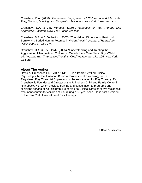Crenshaw, D.A. (2008). *Therapeutic Engagement of Children and Adolescents: Play, Symbol, Drawing, and Storytelling Strategies*. New York: Jason Aronson.

Crenshaw, D.A. & J.B. Mordock. (2005). *Handbook of Play Therapy with Aggressive Children.* New York: Jason Aronson.

Crenshaw, D.A. & J. Garbarino. (2007). "The Hidden Dimensions: Profound Sorrow and Buried Human Potential in Violent Youth." *Journal of Humanistic Psychology, 47, 160-174.* 

Crenshaw, D.A. & K.V. Hardy. (2005). "Understanding and Treating the Aggression of Traumatized Children in Out-of-Home Care." In N. Boyd-Webb, ed., *Working with Traumatized Youth in Child Welfare*, pp. 171–195. New York: Guilford.

## **About The Author**

David A. Crenshaw, PhD, ABPP, RPT-S, is a Board Certified Clinical Psychologist by the American Board of Professional Psychology and a Registered Play Therapist Supervisor by the Association for Play Therapy. Dr. Crenshaw is Founder and Director of the Rhinebeck Child and Family Center in Rhinebeck, NY, which provides training and consultation to programs and clinicians serving at-risk children. He served as Clinical Director of two residential treatment centers for children at-risk during a 30-year span. He is past president of the New York Association of Play Therapy.

© David A. Crenshaw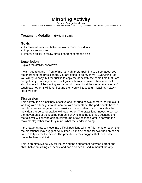# **Mirroring Activity**

Source: Evangeline Munns

Published in Assessment & Treatment Activities for Children, Adolescents, and Families Vol 1 Edited by Lowenstein, 2008

#### **Treatment Modality**: Individual, Family

#### **Goals**

- Increase attunement between two or more individuals
- Improve self-control
- Improve ability to follow directions from someone else

## **Description**

Explain the activity as follows:

"I want you to stand in front of me just right there (pointing to a spot about two feet in front of the practitioner). You are going to be my mirror. Everything I do you will try to copy, but the trick is to copy me at exactly the same time that I am doing it, so you are my mirror. I will go slowly so you have a chance to think about where I will be moving so we can do it exactly at the same time. We can't touch each other. I will lead first and then you will take a turn leading. Ready? Here we go!"

## **Discussion**

This activity is an amazingly effective one for bringing two or more individuals (if working with a family) into attunement with each other. The participants have to be fully attentive, engaged, and sensitive to each other. It also motivates the individuals to be co-operative with each other. The practitioner needs to correct the movements of the leading person if she/he is going too fast, because then the follower will only be able to imitate (be a few seconds later in copying the movements) rather than truly mirror what the leader is doing.

If the leader starts to move into difficult positions with her/his hands or body, then the practitioner may suggest, "Just keep it simple," so the follower has an easier time to truly mirror the action. The practitioner may suggest that the leader just move the hands at first.

This is an effective activity for increasing the attunement between parent and child, between siblings or peers, and has also been used in marital therapy.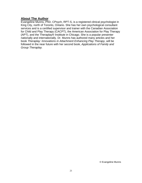## **About The Author**

Evangeline Munns, PhD, CPsych, RPT-S, is a registered clinical psychologist in King City, north of Toronto, Ontario. She has her own psychological consultant services and is a certified supervisor and trainer with the Canadian Association for Child and Play Therapy (CACPT), the American Association for Play Therapy (APT), and the Theraplay® Insititute in Chicago. She is a popular presenter nationally and internationally. Dr. Munns has authored many articles and her book *Theraplay: Innovations in Attachment Enhancing Play Therapy*, will be followed in the near future with her second book, *Applications of Family and Group Theraplay.*

© Evangeline Munns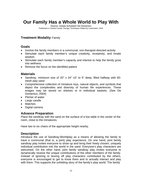# **Our Family Has a Whole World to Play With**

Source: Gisela Schubach De Domenico Published in *Creative Family Therapy Techniques* Edited by Lowenstein, 2010

## **Treatment Modality:** Family

## **Goals**

- Involve the family members in a communal, non-therapist directed activity
- Stimulate each family member's unique creativity, receptivity, and innate wisdom
- Stimulate each family member's capacity and interest to help the family grow into wellness
- Remove the focus on the identified patient

## **Materials**

- Sandtray, minimum size of 20" x 24" x3" to 5" deep, filled halfway with 60 mesh play sand
- Comprehensive collection of miniature toys, natural objects, and symbols that depict the complexities and diversity of human life experiences. These images may be stored on shelves or in individual baskets. (See De Domenico, 2004)
- Pitcher of water
- Large candle
- Matches
- Digital camera

## **Advance Preparation**

Place the sandtray with the sand on the surface of a low table in the center of the room, close to the miniatures.

Have two to six chairs of the appropriate height nearby.

## **Description**

Introduce the use of Sandtray-Worldplay as a means of allowing the family to have a communal (that is, a joint) play experience. On one hand, joint family sandtray play invites everyone to show up and bring their freely chosen, uniquely individual contribution into the world in the sand. Everyone's play characters are welcomed. On the other hand, joint family sandtray play invites everyone to dynamically receive the unique contributions of the other members of the family. Instead of ignoring or boxing off play characters contributed by the others, everyone is encouraged to get to know them and to actually interact and play with them. This supports the unfolding story of the family's play world. The family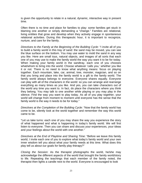is given the opportunity to relate in a natural, dynamic, interactive way in present time.

Often there is no time and place for families to play: some families get stuck in blaming one another or simply demanding a "change." Families are relational, living entities that grow and develop when they actively engage in spontaneous relational activities. During this therapeutic hour, it is important to recognize, nurture, and care for the family.

*Directives to the Family at the Beginning of the Building Cycle*: "I invite all of you to build a family world in this tray of sand: the sand may be moved, you can see the blue surface on the bottom. You may use water to mold the sand in any way you like. Here are small toys, natural objects, and images of all sorts that each one of you may use to make the family world the way you want it to be for today. When making your family world in the sandtray, each one of you chooses what/whom to bring into the world. Choose whatever 'calls you,' whether you like it or not. There is no need to know what anything means: focus on playing together. Each mountain, lake, car, animal, tree, monster, magician, and so on that you bring and place into the family world is a gift to the family world. The family world always belongs to everyone. Everyone shares equally. Everyone can play with all of the characters in the world: so you can arrange and rearrange everything as many times as you like. And yes, you can take characters out of the world any time you want to. In fact, do place the characters where you think they belong. You may talk to one another while playing or you may play in the silence. Find the way you want to play today. As all of you play together, your world will change from moment to moment until everyone has the sense that the family world is the way it needs to be for today."

*Directives at the Completion of the Building Cycle*: "Now that the family world has come to be, silently look at the world together and remember the way this world came to be.

"Let us take turns: each one of you may share the way you experience the story of what happened and what is happening in today's family world. We will first listen to everyone. Then you can share and discuss your experiences, your ideas and your feelings about the world with one another."

*Directives at the End of Playtime and Sharing Time*: "Before we leave this family world, I invite each one of you to explore what today's family world and your own inner wisdom tell you about what your family needs at this time. What does this play tell us about our goals for family play therapy?"

*Closing the Session*: As the therapist photographs the world, he/she may acknowledge the different aspects of the world that brought the family world/story to life. Repeating the teachings that each member of the family noted, the therapist then lights a candle next to the world. Everyone is encouraged to look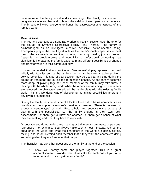once more at the family world and its teachings. The family is instructed to congratulate one another and to honor the validity of each person's experience. The lit candle invites everyone to honor the sacred/awesome aspects of the family's world.

#### **Discussion**

The free and spontaneous Sandtray-Worldplay Family Session sets the tone for the course of Dynamic Expressive Family Play Therapy. The family is acknowledged as an intelligent, creative, sensitive, action-oriented being. Therapeutic play in the sandtray stimulates the family's innate capacities to meet their collective needs for survival, nurturing, harmony, health, joy, and so on. Capacities to problem-solve and receptivity to professional counseling may significantly increase as the family explores many different possibilities of change and transformation in their communal play.

It is recommended that a non-directed Sandtray-Worldplay approach be used initially with families so that the family is bonded to their own creative problemsolving potential. This type of play session may be used at any time during the course of treatment and during the termination phases. As the family becomes more adept at playing together, each member of the family may take turns in playing with the whole family world while the others are watching. No characters are removed, no characters are added: the family plays with the existing family world! This is a wonderful way of discovering the infinite possibilities inherent in any given circumstance.

During the family session, it is helpful for the therapist to be as non-directive as possible and to support everyone's creative expression. There is no need to expect a "certain type" of world. Focus, hold, and encourage the process of playing with the possibilities. Let the family engage in their own "selfassessment." Let them get to know one another. Let them get a sense of what they are seeking and what they have to work with.

Discourage and do not reflect any blaming or judgmental statements or personal references – for example, "You always make such a mess." Instead, redirect the speaker to the world and what the characters in the world are doing, saying, feeling, and so on. Remind each member that if they want the characters doing something else, they are free to let that happen.

The therapist may ask other questions of the family at the end of the session:

1. Today, your family came and played together. This is a great accomplishment. I wonder what it was like for each one of you to be together and to play together as a family?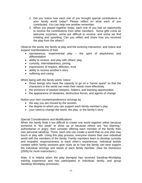- 2. Did you notice how each one of you brought special contributions to your family world today? Please reflect on what each of you contributed. You can help one another remember.
- 3. When you played together today, each one of you had an opportunity to receive the contributions from other members. Some gifts come as welcome surprises, some are difficult to receive, and some we find irritating and upsetting. Can you reflect and share how you received the play from the others?

Observe the world, the family at play and the evolving interaction, and notice and support manifestations of their

- spontaneous, experimental play the spirit of playfulness and differentiation
- ability to receive and play with others' play
- curiosity, interrelatedness, joining
- expressions of respect, affection, trust
- ability to receive another's story
- suffering and caring

When being with the family world, notice

- those beings who have the capacity to go on a "heroic quest" so that the characters in the world can meet their needs more effectively
- the presence of wisdom keepers, helpers, and learning opportunities
- the appearance of obstacles, destructive forces, and agents of change

Notice your own countertransference strivings by

- the way you are moved by the session
- the degree to which you can support each family member's play
- your need to change the world, the play, or the family's story

#### *Special Considerations and Modifications*

When the family finds it too difficult to create one world together either because someone is "too weak" to show up or because others are "too blaming," authoritarian or angry, then consider offering each member of the family their own personal sandtray. There, each one can create a world that no one else may touch or play with. Using this play process, everyone shares their own individual world with the members of the family. Family members learn to develop curiosity and empathic responsiveness to each other's experiences. Individual worlds created within family sessions give clues as to how the family can best support the individual strivings and needs of each family member. (See De Domenico [2005] for more instructions.)

Note: It is helpful when the play therapist has received Sandtray-Worldplay training experience and has participated in individual, family, and group Sandtray-Worldplay processes.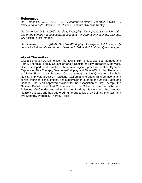#### **References**

De Domenico, G.S. (2004/1982). *Sandtray-Worldplay Therapy: Levels 1-6 training hand-outs.* Oakland, CA: Vision Quest Into Symbolic Reality.

De Domenico, G.S. (2005). *Sandtray-Worldplay: A comprehensive guide to the use of the sandtray in psychotherapeutic and transformational settings.* Oakland, CA: Vision Quest Images.

De Domenico, G.S. (2008). *Sandtray-Worldplay: An experiential home study course for individuals and groups: Volume 1.* Oakland, CA: Vision Quest Images.

## **About The Author**

Gisela Schubach De Domenico, Phd, LMFT, RPT-S, is a Licensed Marriage and Family Therapist, Family Counselor, and a Registered Play Therapist Supervisor. She developed and teaches phenomenological, process-oriented Dynamic Expressive Play Therapy, Sandtray-Worldplay and Nature-Worldplay Therapy in a 32-day Foundations Methods Course through Vision Quest Into Symbolic Reality. In private practice in Oakland, California, she offers transformational and clinical trainings, consultations, and supervision throughout the United States and Canada. She is an approved provider for the Association of Play Therapy, the National Board of Certified Counselors, and the California Board of Behavioral Sciences. Co-founder and editor for the Sandtray Network and the *Sandtray Network Journal*, she has authored numerous articles, six training manuals, and two Sandtray-Worldplay Therapy Texts.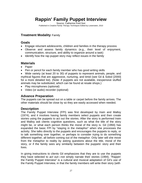# **Rappin' Family Puppet Interview**

Source: Catherine Ford Sori Published in *Creative Family Therapy Techniques* Edited by Lowenstein, 2010

## **Treatment Modality**: Family

## **Goals**

- Engage reluctant adolescents, children and families in the therapy process
- Observe and assess family dynamics (e.g., their level of enjoyment, communication, structure, and ability to organize around a task)
- Identify how the rap puppet story may reflect issues in the family

## **Materials**

- Paper
- Pen or pencil for each family member who has good writing skills

• Wide variety (at least 20 to 30) of puppets to represent animals, people, and mythical figures that are aggressive, nurturing, and timid (see Gil & Sobol [2000] for a more detailed list). (Note: if puppets are not available, inexpensive stuffed animals may be substituted, which can be found at resale shops.)

- Play microphones (optional)
- Video (or audio) recorder (optional)

## **Advance Preparation**

The puppets can be spread out on a table or carpet before the family arrives. The other materials should be close by so they are easily accessed when needed.

## **Description**

The Family Puppet Interview (FPI) was first developed by Irwin and Malloy (1974), and it involves having family members select puppets and then create stories using the puppets to act out the stories. After the story is performed Irwin and Malloy ask clients cognitive questions, such as what the title of the story might be, or what each person thinks the moral of the story is. Gil (1994) has expanded the basic FPI by "staying in the metaphor" when she processes the activity. She talks directly to the puppets and encourages the puppets to reply, or to talk something over together, or perhaps to consider trying to do something different together, all before coming out of the metaphor. Only later will she move from the metaphor to reality by asking questions about the title, moral of the story, or if the family sees any similarity between the puppets' story and their lives.

In giving instructions to clients Gil emphasizes that they are to use the puppets they have selected to *act out*—not simply narrate their stories (1994). "Rappin' the Family Puppet Interview" is a cultural and musical adaptation of Gil's use of the Family Puppet Interview, in that the family members will write their story (with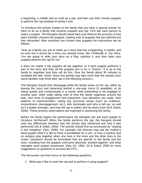a beginning, a middle and an end) as a rap, and then use their chosen puppets to perform the rap (instead of acting it out).

To introduce the activity explain to the family that you have a special activity for them to do as a family that involves puppets and rap. First ask each person to select a puppet. The therapist should stand back and observe the process of how each member chooses the puppets, making note of puppets that are selected but then discarded. After everyone has chosen their puppets the instructions are as follows:

"Now as a family you are to make up a story that has a beginning, a middle, and an end, but it cannot be a story you already know, like *Cinderella* or *Toy Story*. You are going to write your story as a Rap, practice it, and then have your puppets perform the rap for me."

It does not matter if the puppets all rap together, or if each puppet performs a part of the story and then all the puppets join in for a "chorus." It is up to the family to negotiate how they will do this. Give the family about 30 minutes to complete the task. (Note: Since this activity may take more than the session hour some families may finish their rap in the following session.)

The therapist should then disengage while the family works on the rap, either by leaving the room and observing behind a one-way mirror (if available), or by sitting quietly and unobtrusively in a corner while pretending to be engaged in another task, while really taking note of how the family organizes around the task, their level of engagement and enjoyment, how decisions are made, their patterns of communication, noting any structural issues (such as coalitions, enmeshment, disengagement, etc.), who dominates and who is left out, as well as if a leader emerges, and how the rap is written and by whom (see Gil & Sobol, 2000). These process observations are important in assessing the family.

Before the family begins the performance the therapist can ask each puppet to introduce him/herself. When the family performs the rap, the therapist should note any differences between how the activity was rehearsed and how it was performed (Gil & Sobol, 2000). The activity should first be processed by "staying in the metaphor" (Sori, 2006). For example, the clinician may ask the mother's lamb puppet what it is like to have a bumblebee for a son, or how a monkey and an octopus play together when one lives in the trees and the other lives in the ocean. Questions should be formulated that are specific to the family and the story, including how the puppets overcame adversity, worked together, and what strengths each puppet possessed. (See Gil, 1994; Gil & Sobol, 2000 for more suggestions on questions to process the FPI.)

The discussion can then focus on the following questions:

1. What was it like to write the rap and to perform it using puppets?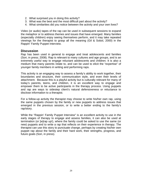- 2. What surprised you in doing this activity?
- 3. What was the best and the most difficult part about the activity?
- 4. What similarities did you notice between the activity and your own lives?

Video (or audio) tapes of the rap can be used in subsequent sessions to expand the metaphor or to address themes and issues that have emerged. Many families (especially children) enjoy seeing themselves perform, and it may take repeated viewings for the therapist to grasp all the meaning (Gil & Sobol, 2000) in the Rappin' Family Puppet Interview.

#### **Discussion**

Rap has been used in general to engage and treat adolescents and families (Sori, in press; 2008). Rap is relevant to many cultures and age groups, and is an extremely useful way to engage reluctant adolescents and children. It is also a medium that many parents relate to, and can be used to elicit the "expertise" of younger family members in writing and performing raps.

This activity is an engaging way to assess a family's ability to work together, their boundaries and structure, their communication style, and even their levels of attachment. Because this is a playful activity but is culturally relevant for many of today's parents, teens, and children, it is an excellent way to engage and empower them to be active participants in the therapy process. Using puppets and rap are ways to sidestep client's natural defensiveness or reluctance to disclose information to a therapist.

For a follow-up activity the therapist may choose to write his/her own rap, using the same puppets chosen by the family or new puppets to address issues that emerged in the previous session, or to write a better ending to the family's rap/story.

While the "Rappin' Family Puppet Interview" is an excellent activity to use in the early stages of therapy to engage and assess families, it can also be used at termination (or [w]rap up!), where the family could be asked to use the same (or new) puppets and to write a rap that reflects on their experience in therapy. The therapist can use this story to punctuate change, perhaps by creating his/her own puppet rap about the family and their hard work, their strengths, progress, and future goals (Sori, in press).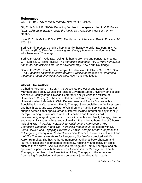#### **References**

Gil, E. (1994). *Play in family therapy*. New York: Guilford.

Gil, E., & Sobol, B. (2000). Engaging families in therapeutic play. In C.E. Bailey (Ed.), *Children in therapy: Using the family as a resource*. New York: W. W. Norton.

Irwin, E. C., & Malloy, E.S. (1975). Family puppet interviews. *Family Process, 14,*  170-191.

Sori, C.F. (in press). Using hip-hop in family therapy to build "rap"port. In H. G. Rosenthal (Ed.), *Favorite counseling and therapy homework assignment* (2nd ed.). New York: Routledge.

Sori, C.F. (2008). "Kids-rap:" Using hip-hop to promote and punctuate change. In C.F. Sori & L.L. Hecker (Eds.), *The therapist's notebook: Vol. 3. More homework, handouts, and activities for use in psychotherapy.* New York: Routledge.

Sori, C.F. (2006). Family play therapy: An interview with Eliana Gil. In C.F. Sori (Ed.), *Engaging children in family therapy: Creative approaches to integrating theory and research in clinical practice.* New York: Routledge.

#### **About The Author**

Catherine Ford Sori, PhD, LMFT, is Associate Professor and Leader of the Marriage and Family Counseling track at Governors State University, and is also Associate Faculty at the Chicago Center for Family Health (an affiliate of University of Chicago). She completed her doctorate degree at Purdue University West Lafayette in Child Development and Family Studies with a Specialization in Marriage and Family Therapy. She specializes in family systems and health care, and was Director of Children and Family Services at a cancer support center. Other special areas of interest include integrating play in family therapy, training counselors to work with children and families, child bereavement, integrating music and dance in couples and family therapy, divorce and stepfamily issues, ethics, and spirituality. She is the author/editor of 6 books, including *The Therapists' Notebook for Children and Adolescents, The Therapist's Notebook II* and *The Therapist's Notebook III* (co-edited with Dr. Lorna Hecker) and *Engaging Children in Family Therapy: Creative Approaches to Integrating Theory and Research in Clinical Practice*, as well as Volumes I and II of *The Therapist's Notebook for Integrating Spirituality* (co-edited with Dr. Karen Helmeke). She has authored numerous additional book chapters and journal articles and has presented nationally, regionally, and locally on topics such as those above. She is a licensed Marriage and Family Therapist and an approved supervisor with the American Association for Marriage and Family Therapy, a member of the Association of Play Therapy and the American Counseling Association, and serves on several journal editorial boards.

© Catherine Ford Sori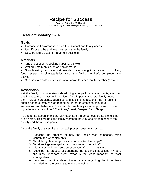# **Recipe for Success**

Source: Katherine M. Hertlein Published in *Creative Family Therapy Techniques* Edited by Lowenstein, 2010

## **Treatment Modality**: Family

#### **Goals**

- Increase self-awareness related to individual and family needs
- Identify strengths and weaknesses within the family
- Develop future goals for treatment sessions

## **Materials**

- One sheet of scrapbooking paper (any style)
- Writing instruments such as pen or marker

• Scrapbooking decorations (these decorations might be related to cooking, food, recipes, or characteristics about the family member's completing the activity)

• Supplies to create a chef's hat or an apron for each family member (optional)

## **Description**

Ask the family to collaborate on developing a recipe for success, that is, a recipe that includes the necessary ingredients for a happy, successful family. Have them include ingredients, quantities, and cooking instructions. The ingredients should not be directly related to food but rather to emotions, thoughts, sensations, and behaviors. For example, one family included portions of some ingredients such as, "love," "fun times," "trust," "respect," and "hugs."

To add to the appeal of this activity, each family member can create a chef's hat or an apron. This will help the family members have a tangible reminder of the activity and therapeutic goals.

Once the family outlines the recipe, ask process questions such as:

- 1. Describe the process of how the recipe was composed. Who contributed what elements?
- 2. What thoughts emerged as you constructed the recipe?
- 3. What feelings emerged as you constructed the recipe?
- 4. Did any of the ingredients surprise you? If so, in what ways?
- 5. Describe the process of generating the cooking instructions. What is the most important step? What is the least important or most changeable?
- 6. How was the final determination made regarding the ingredients included and the process to make the recipe?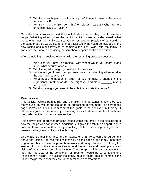- 7. What can each person in the family do/change to ensure the recipe turns out well?
- 8. What can the therapist do in his/her role as "Assistant Chef" to help bring this recipe to fruition?

Once the task is processed, ask the family to describe how they want to see their recipe. What ingredients does the family want to increase or decrease? What ingredients does the family want to add or remove completely? What would be the steps that they would like to change? Discuss what would be included in the new recipe and steps involved to complete the dish. Work with the family to construct their new recipe using the scrapbook paper and the decorations.

After completing the recipe, follow up with the remaining process questions:

- 1. Who else will know this recipe? With whom would you share it and under what circumstances?
- 2. What side dishes might go well with this recipe?
- 3. How would you know when you need to add another ingredient or alter the cooking instructions?
- 4. What needs to happen in order for you to make a change in the ingredients? In other words, how might you add more in your family life?
- 5. What tools might you need to be able to complete the recipe?

### **Discussion**

This activity assists both family and therapist in understanding how they see themselves, as well as the issues to be addressed in treatment. The scrapbook page serves as a visual reminder of the goals to be achieved in therapy. It addresses goals in treatment by presenting a way to develop a plan to achieve the goals identified in the success recipe.

This activity also addresses process issues within the family in the discussion of how the recipe was constructed. Additionally, it gives the family an opportunity to collaborate with one another on a joint activity related to reaching their goals and creates the beginnings of a positive history.

One challenge that may arise is the inability of a family to come to agreement about one recipe. Address this challenge by asking each of the family members to generate his/her own recipe as homework and bring it to session. During the session, focus on the commonalities around the recipes and develop a shared vision of what the recipe might include. The therapist might also advance the idea that the goal at the completion of treatment would be to complete one unified family recipe. The closer the family gets to being able to complete the unified recipe, the closer they are to the termination of treatment.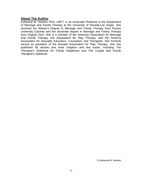### **About The Author**

Katherine M. Hertlein, PhD, LMFT, is an Associate Professor in the Department of Marriage and Family Therapy at the University of Nevada-Las Vegas. She received her Master's Degree in Marriage and Family Therapy from Purdue University Calumet and her doctorate degree in Marriage and Family Therapy from Virginia Tech. She is a member of the American Association for Marriage and Family Therapy, the Association for Play Therapy, and the America Association for Sexuality Educators, Counselors and Therapists. She formerly served as president of the Nevada Association for Play Therapy. She has published 50 articles and book chapters and five books, including *The Therapist's Notebook for Family Healthcare* and *The Couple and Family Therapist's Notebook.* 

© Katherine M. Hertlein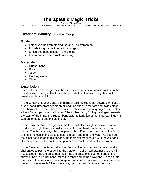# **Therapeutic Magic Tricks**

Source: Diane Frey

Published in Assessment & Treatment Activities for Children, Adolescents, and Families Vol 1 Edited by Lowenstein, 2008

# **Treatment Modality:** Individual, Group

#### **Goals**

- Establish a non-threatening therapeutic environment
- Provide insight about behavior change
- Encourage hopefulness in the client(s)
- Encourage creative problem-solving

### **Materials**

- Rubber band
- Potato
- Straw
- Drinking glass
- Water

# **Description**

Each of these three magic tricks helps the client to develop new insights into the possibilities of change. The tricks also provide the client with insights about creative problem-solving.

In the Jumping Rubber Band, the therapist tells the client that she/he can make a rubber band jump from her/his small and ring finger to the fore and middle finger. The therapist puts the rubber band over her/his small and ring finger, then folds all four finger tips under the inside of the rubber band, folding the fingers towards the palm of the hand. The rubber band automatically jumps from the two fingers it was on to the fore and middle finger.

In the Drink the Water magic trick, the therapist places a glass of water on an outstretched right hand, and asks the client to grip her/his right arm with both hands. The therapist says that, despite her/his effort to hold down the client's arm, she/he can lift the glass to her/his mouth and drink the water. As soon as the client has tightened his/her grip, the therapist reaches out with the *left* hand, lifts the glass from the right palm up to her/his mouth, and drinks the water.

In the Straw and the Potato trick, the client is given a straw and a potato and is challenged to push the straw into the potato. The client will attempt this but will not succeed. The therapist then tries. The therapist folds over one end of the straw, grips it in his/her hand, takes the other end of the straw and pushes it into the potato. The reason for the change is that air is compressed in the straw when the end of the straw is folded, therefore, the straw will penetrate the potato.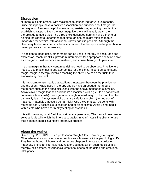### **Discussion**

Numerous clients present with resistance to counseling for various reasons. Since most people have a positive association and curiosity about magic, the technique is often very helpful in minimizing resistance, engaging the client, and establishing rapport. Even the most negative client will usually watch the therapist do a magic trick. The three tricks described here all have a theme of helping the client to understand that although she/he might think change is impossible for her/him, with additional knowledge it is possible. Although the client may feel entrenched in a behavior pattern, the therapist can help her/him to develop creative problem-solving.

In addition to these uses, other magic can be used in therapy to encourage selfexpression, teach life skills, provide reinforcement for appropriate behavior, serve as a diagnostic aid, enhance self-esteem, and infuse therapy with pleasure.

In using magic in therapy, certain guidelines need to be observed. Practitioners need to use magic that is age appropriate for the client. As contrasted to stage magic, magic in therapy involves teaching the client how to do the trick, thus empowering the client.

It is important to use magic that facilitates interaction between the practitioner and the client. Magic used in therapy should have embedded therapeutic metaphors such as the ones discussed with the above mentioned examples. Always avoid magic that has "trickiness" associated with it (i.e., false bottoms of containers, fake cards). Seek genuine straightforward magic tricks that the client can easily learn. Always use tricks that are safe for the client (i.e., no use of matches, materials that could be harmful.) Use tricks that can be done with materials easily accessible to children and/or older clients. Avoid using magic with clients who have poor reality testing or psychosis.

It is still true today what Carl Jung said many years ago, "The hands know how to solve a riddle with which the intellect struggles in vein." Assisting clients to use their hands in magic is a highly facilitative process.

### **About the Author**

Diane Frey, PhD, RPT-S, is a professor at Wright State University in Dayton, Ohio, where she also is in private practice as a licensed clinical psychologist. Dr. Frey has authored 17 books and numerous chapters in texts and curriculum materials. She is an internationally recognized speaker on such topics as play therapy, self-esteem, psychosocial emotional needs of the gifted and emotional intelligence.

© Diane Frey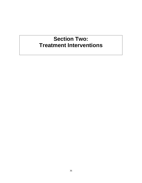# **Section Two: Treatment Interventions**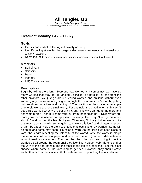# **All Tangled Up**

Source: Paris Goodyear-Brown Published in *Digging for Buried Treasure, Goodyear-Brown*

### **Treatment Modality:** Individual, Family

### **Goals**

- Identify and verbalize feelings of anxiety or worry
- Identify coping strategies that target a decrease in frequency and intensity of anxiety reactions
- Decrease the frequency, intensity, and number of worries experienced by the client

## **Materials**

- Ball of yarn
- Scissors
- Paper
- Markers
- Finger puppets of bugs

### **Description**

Begin by telling the client, "Everyone has worries and sometimes we have so many worries that they get all tangled up inside. It's hard to tell one from the other anymore. We just go around feeling worried and anxious without even knowing why. Today we are going to untangle those worries. Let's start by pulling out one thread at a time and naming it." The practitioner then gives an example of one big worry and one small worry. For example, the practitioner might say, "I get a little worried when we're out of milk, but I know we can go to the store and get some more." Then pull some yarn out from the tangled ball. Deliberately pull more yarn than is needed to represent this worry. Then say, "I worry this much about it" and hold up the length of yarn. Then say, "Actually, I don't worry quite that much about the milk, so I'm going to make it this long" and shorten the piece of yarn by a foot. Help the client to untangle at least five or six worries. Some will be small and some may seem like miles of yarn. As the child cuts each piece of yarn (the length reflecting the intensity of the worry), write the worry in magic marker on a small piece of paper and tape it on the yarn (this helps delineate one worry thread from another). Then tell the client that you are going to tie the worries up all around the room until they look like a spider web. Tie one end of the yarn to the door handle and the other to the top of a bookshelf. Let the client choose where some of the yarn lengths get tied. However, they should cross each other across the space so that the threads end up looking like a spider web.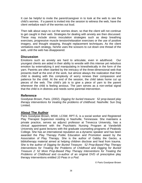It can be helpful to invite the parent/caregiver in to look at the web to see the child's worries. If a parent is invited into the session to witness the web, have the client verbalize each of the worries out loud.

Then talk about ways to cut the worries down, so that the client will not continue to get caught in their web. Strategies for dealing with anxiety are then discussed. These may include stress inoculation strategies such as deep breathing exercises, progressive muscle tension/relaxation exercises or the use of positive imagery, and thought stopping, thought replacement techniques. As the client verbalizes each strategy, he/she uses the scissors to cut down one thread of the web, until the web has disappeared.

# **Discussion**

Emotions such as anxiety are hard to articulate, even in adulthood. Our youngest clients are aided in their ability to wrestle with this intense yet nebulous emotion by externalizing it and manipulating in kinesthetically in the form of the yarn. Parents are often startled by the intricacy of the three-dimensional web that presents itself at the end of the work, but almost always the realization that their child is dealing with this complexity of worry renews their compassion and patience for the child. At the end of the session, the child takes home cut up pieces of the web. The child's job is to give a piece of yarn to the parent whenever the child is feeling anxious. The yarn serves as a non-verbal signal that the child is in distress and needs some parental intervention.

### **Reference**

Goodyear-Brown, Paris. (2002). *Digging for buried treasure: 52 prop-based play therapy interventions for treating the problems of childhood*. Nashville: Sun Dog Limited.

# **About The Author**

Paris Goodyear-Brown, MSW, LCSW, RPT-S, is a social worker and Registered Play Therapist Supervisor residing in Nashville, Tennessee. She maintains a private practice, serves as adjunct professor at Trevecca University, has a clinical appointment with the Psychiatric Nursing Program at Vanderbilt University and guest lectures with the graduate counseling programs of Peabody College. She has an international reputation as a dynamic speaker and has been awarded the Play Therapy Public Education and Promotion award by the Association of Play Therapy. She is the author of Gabby the Gecko, a bibliotherapy material aimed at helping children disclose and heal from trauma. She is the author of *Digging for Buried Treasure: 52 Prop-Based Play Therapy Interventions for Treating the Problems of Childhood* and *Digging for Buried Treasure 2: 52 More Prop-Based Play Therapy Interventions for Treating the Problems of Childhood* and co-author of an original DVD of prescriptive play therapy interventions entitled *10 Peas in a Pod*.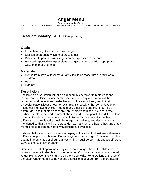# **Anger Menu**

Source: Angela M. Cavett

Published in Assessment & Treatment Activities for Children, Adolescents, and Families Vol 2 Edited by Lowenstein, 2010

## **Treatment Modality**: Individual, Group, Family

## **Goals**

- List at least eight ways to express anger
- Discuss appropriate ways to express anger
- Discuss with parents ways anger can be expressed in the home
- Reduce inappropriate expressions of anger and replace with appropriate ways of expressing anger

### **Materials**

- Menus from several local restaurants, including those that are familiar to children
- Paper
- Markers

### **Description**

Facilitate a conversation with the child about his/her favorite restaurant and favorite entree. Discuss whether he/she ever tried any other meals at the restaurant and the options he/she has or could select when going to that particular place. Discuss how, for example, it is possible that some days one might feel like having chicken nuggets and other days one might feel like a hamburger, and that different people prefer different things. Ask about what his/her parents select and comment about how different people like different food options. Ask about whether members of his/her family ever eat something different than their favorite meal. Beverages, appetizers, and desserts are all mentioned so that the child understands how many options he/she has and that a menu is used to communicate what options are available.

Indicate that a menu is a nice way to display options and that just like with meals different people may choose different ways to express anger. Continue to explain that at different times or circumstances an individual person may choose different ways to express his/her anger.

Brainstorm a list of appropriate ways to express anger. Assist the child if needed. Make a menu by folding blank paper together. On the front page, write the words Anger Menu. Open the Menu and on the inside, write Menu Options at the top of the page. Underneath, list the various expressions of anger from the brainstorm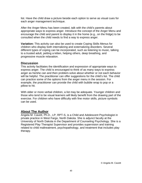list. Have the child draw a picture beside each option to serve as visual cues for each anger management technique.

After the Anger Menu has been created, talk with the child's parents about appropriate ways to express anger. Introduce the concept of the Anger Menu and encourage the child and parent to display it in the home (e.g., on the fridge) to be consulted when the child needs to find a way to express anger.

**Variation:** This activity can also be used to create Coping Skills Menus for children who display both internalizing and externalizing disorders. Several different types of coping can be incorporated, such as listening to music, talking to a trusted adult, petting a kitten, helping others, deep breathing, and progressive muscle relaxation.

## **Discussion**

This activity facilitates the identification and expression of appropriate ways to express anger. The child is encouraged to think of as many ways to express anger as he/she can and then problem-solve about whether or not each behavior will be helpful. The practitioner can offer suggestions for the child's list. The child can practice some of the options from the anger menu in the session. For example, the practitioner can provide the child with bubble wrap to pop or a pillow to hit.

With older or more verbal children, a list may be adequate. Younger children and those who tend to be visual learners will likely benefit from the drawing part of the exercise. For children who have difficulty with fine motor skills, picture symbols can be used.

### **About The Author**

Angela M. Cavett, Ph.D., LP, RPT-S, is a Child and Adolescent Psychologist in private practice in West Fargo, North Dakota. She is adjunct faculty at the University of North Dakota in the Department of Counseling Psychology. She is a Registered Play Therapist Supervisor and provides supervision and training related to child maltreatment, psychopathology, and treatment that includes play therapy.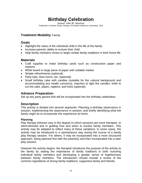# **Birthday Celebration**

Source: John W. Seymour Published in *Creative Family Therapy Techniques* Edited by Lowenstein, 2010

# **Treatment Modality:** Family

### **Goals**

- Highlight the value of the individual child in the life of the family
- Increase parents' ability to nurture their child
- Help family members renew or begin similar family traditions in their home life

# **Materials**

- Craft supplies to make birthday cards such as construction paper and markers
- White board or large piece of paper with suitable marker
- Simple refreshments (optional)
- Party hats, blow horns, etc. (optional)
- Small birthday cake with candles (suitable for the cultural background and accommodating any health concerns), matches to light the candles, knife to cut the cake, plates, napkins, and forks (optional)

# **Advance Preparation**

Set up any party games that will be incorporated into the birthday celebration.

# **Description**

This activity is divided into several segments: Planning a birthday observance in session, implementing the observance in session, and briefly identifying what the family might do to incorporate this experience at home.

#### **Planning**

Play therapy theories vary in the degree to which sessions are more therapist- or client-directed and in guiding how and when to involve family members. This activity may be adapted to reflect many of these variations. In some cases, the activity may be introduced in a spontaneous way during the course of a family play therapy session. For others, it may be incorporated into a more structured approach, being planned first with the parent(s) and then incorporated into a later play session.

However the activity begins, the therapist introduces the purpose of the activity to the family by stating the importance of family traditions in both nurturing individual family members and developing a greater sense of togetherness between family members. The introduction should include a review of the common ingredients of strong family traditions: supportive family and friends,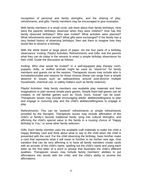recognition of personal and family strengths, and the sharing of play, refreshments, and gifts. Family members may be encouraged to give examples.

With family members in a small circle, ask them about their family birthdays: How were the parents' birthdays observed when they were children? How has this family observed birthdays? Who was invited? What activities were planned? What refreshments were served? What gifts were exchanged? If the family has a very limited history of observing birthdays, then ask them to imagine how they would like to observe a birthday.

With the white board or large piece of paper, list the four parts of a birthday observance: Inviting, Playful Activities, Refreshments, and Gifts. Ask the parents what they can do today in the session to enact a simple birthday observance for their child. Guide the discussion as follows:

*Inviting:* Who else would be invited? In a well-equipped play therapy room, puppets, dolls, or stuffed animals might be used as "stand-ins" for family members and guests not at the session. Therapeutic issues may include who is included/excluded and reasons for those choices (these can range from a simple absence to issues such as awkwardness around post-divorce multiple households, chemical use, or safety matters such as family violence).

*Playful Activities:* Help family members use available play materials and their imaginations to plan several simple party games. Simple foam-ball games can be created, or old familiar games such as "Duck, Duck, Goose" can be used. Therapeutic issues may include encouraging adults' abilities/willingness to plan and engage in nurturing play and the child's abilities/willingness to engage in play.

*Refreshments:* This can be "pretend" refreshments or simple refreshments provided by the therapist. Therapeutic issues may include affirmation of the child's or family's favorite traditional foods, tying into cultural strengths, and affirming the child's special value to the family in a rousing chorus of "Happy Birthday to You," or some other family selection.

*Gifts:* Each family member uses the available craft materials to make the child a Happy Birthday card and think about what to say to the child when the child is presented with the card. For the child observing the birthday, have him/her make a card that represents what it will mean to him/her to be his/her new age. One variation that can be very affirming is to have all family members create cards with an acrostic of the child's name, spelling out the child's name and using each letter as the first letter of a word or phrase that illustrates the child's different qualities. Therapeutic issues may include family members' abilities to put affirmations into words with the child, and the child's ability to receive the affirmations.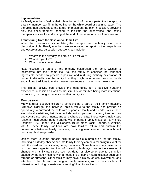#### **Implementation**

As family members finalize their plans for each of the four parts, the therapist or a family member can fill in the outline on the white board or planning paper. The therapist then encourages the family to implement the plan in session, providing only the encouragement needed to facilitate the observance, and noting therapeutic issues for addressing at the end of the session or in a future session.

#### **Transferring from the Session to Home Life**

When the observance is completed, the therapist has the family return to a discussion circle. Family members are encouraged to report on their experience and observations. Discussion questions can include:

- 1. What was the birthday celebration like for you?
- 2. What did you like?
- 3. What was uncomfortable?

Next, discuss the parts of the birthday celebration the family wishes to incorporate into their home life. Ask the family to consider the important ingredients needed to provide a positive and nurturing birthday celebration at home. Additionally, ask the family how they might incorporate their own family and cultural traditions to make these observances at home more meaningful.

This simple activity can provide the opportunity for a positive nurturing experience in session as well as the stimulus for families being more intentional in providing nurturing experiences in their family life.

#### **Discussion**

Many families observe children's birthdays as a part of their family tradition. Birthdays highlight the individual child's value to the family and provide an opportunity to surround the child with supportive family and friends. While there are cultural variations, birthdays include inviting people to attend, time for play and socializing, refreshments, and an exchange of gifts. These very simple steps reflect a much deeper pattern shared with important family rituals of many kinds (Doherty, 1999; Imber-Black & Roberts, 1998; Imber-Black, Roberts, & Whiting, 2003). These family traditions are how families affirm and sustain the connections between family members, providing reinforcement for attachment bonds as children get older.

Unless there is some specific cultural or religious prohibition for the family, including a birthday observance into family therapy can be a meaningful event for both the child and participating family members. Some families may have had a rich but now neglected tradition of observing birthdays, due to the stresses of change and family transitions such as death or divorce or due to disruption caused by the family coping with a house fire or some natural disaster such as a tornado or hurricane. Other families may have a history of less involvement and attention to the life and nurturing of family members, with a previous lack of interest in beginning or sustaining meaningful family traditions.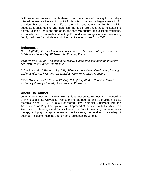Birthday observances in family therapy can be a time of healing for birthdays missed, as well as the starting point for families to renew or begin a meaningful tradition that can enrich the life of the child and family. While this activity suggests a basic outline and materials, therapists are encouraged to adapt the activity to their treatment approach, the family's culture and existing traditions, and availability of materials and setting. For additional suggestions for developing family traditions for birthdays and other family events, see Cox (2003).

#### **References**

*Cox, M. (2003). The book of new family traditions: How to create great rituals for holidays and everyday. Philadelphia: Running Press.*

*Doherty, W.J. (1999). The intentional family: Simple rituals to strengthen family ties. New York: Harper Paperbacks.*

*Imber-Black, E., & Roberts, J. (1998). Rituals for our times: Celebrating, healing, and changing our lives and relationships. New York: Jason Aronson.*

*Imber-Black, E., Roberts, J., & Whiting, R.A. (Eds.) (2003). Rituals in families and family therapy (2nd ed.). New York: W.W. Norton.*

## **About The Author**

John W. Seymour, PhD, LMFT, RPT-S, is an Associate Professor in Counseling at Minnesota State University, Mankato. He has been a family therapist and play therapist since 1978. He is a Registered Play Therapist-Supervisor with the Association for Play Therapy and an Approved Supervisor with the American Association of Marriage and Family Therapists. Prior to teaching graduate family therapy and play therapy courses at the University, he worked in a variety of settings, including hospital, agency, and residential treatment.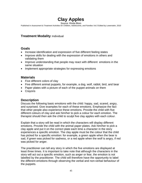# **Clay Apples**

Source: Rinda Blom

Published in Assessment & Treatment Activities for Children, Adolescents, and Families Vol 2 Edited by Lowenstein, 2010

## **Treatment Modality**: Individual

## **Goals**

- Increase identification and expression of five different feeling states
- Improve skills for dealing with the expression of emotions in others and validating them
- Improve understanding that people may react with different emotions in the same situation
- Implement appropriate strategies for expressing emotions

## **Materials**

- Five different colors of clay
- Five different animal puppets, for example, a dog, wolf, rabbit, bird, and bear
- Paper plates with a picture of each of the puppet animals on them
- Crayons

# **Description**

Discuss the following basic emotions with the child: happy, sad, scared, angry, and surprised. Give examples for each of these emotions. Emphasize the fact that other people also experience these emotions. Provide the child with five different colours of clay and ask him/her to pick a colour for each emotion. The therapist should then ask the child to sculpt five clay apples with each colour.

Explain that a story will be read in which the characters will display different emotions. Provide the child with the animal paper plates. Ask him/her to pick a clay apple and put it on the correct plate each time a character in the story experiences a specific emotion. The clay apple must be the colour that the child has picked for a specific emotion: for example, a green apple when the bear is sad, if green was picked for sadness, or a red apple when the wolf is angry, if red was picked for anger.

The practitioner can tell any story in which the five emotions are displayed at least three times. It is important to take note that although the characters in the story will act out a specific emotion, such as anger or fear, the emotion is not labelled by the practitioner. The child will therefore have the opportunity to label the different emotions through observing the verbal and non-verbal behaviour of the puppets.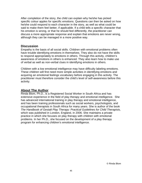After completion of the story, the child can explain why he/she has picked specific colour apples for specific emotions. Questions can then be asked on how he/she could respond to each character in the story, as well as what could be said to make them feel better, if applicable. If a child tells a specific character that his emotion is wrong, or that he should feel differently, the practitioner can discuss a more appropriate response and explain that emotions are never wrong, although they can be managed in a more positive way.

#### **Discussion**

Empathy is the basis of all social skills. Children with emotional problems often have trouble identifying emotions in themselves. They also do not have the skills to respond appropriately to emotions in others. Through this activity, children's awareness of emotions in others is enhanced. They also learn how to make use of verbal as well as non-verbal clues in identifying emotions in others.

Children with a low emotional intelligence may have difficulty labeling emotions. These children will first need more simple activities in identifying emotions and acquiring an emotional feelings vocabulary before engaging in this activity. The practitioner must therefore consider the child's level of self-awareness before this activity.

# **About The Author**

Rinda Blom, Ph.D., is a Registered Social Worker in South Africa and has extensive experience in the field of play therapy and emotional intelligence. She has advanced international training in play therapy and emotional intelligence, and has been training professionals such as social workers, psychologists, and occupational therapists in South Africa for many years. She is author of the book *The Handbook of Gestalt Play Therapy: Practical Guidelines for Child Therapists,* which was published in London, England, in 2006. She maintains a private practice in which she focuses on play therapy with children with emotional problems. In her Ph.D., she focused on the development of a play therapy program for enhancing children's emotional intelligence.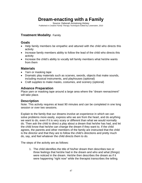# **Dream-enacting with a Family**

Source: Deborah Armstrong Hickey Published in *Creative Family Therapy Techniques* Edited by Lowenstein, 2010

# **Treatment Modality:** Family

#### **Goals**

- Help family members be empathic and attuned with the child who directs this activity
- Increase family members ability to follow the lead of the child who directs this activity
- Increase the child's ability to vocally tell family members what he/she wants from them

### **Materials**

- Yarn or masking tape
- Dramatic play materials such as scarves, swords, objects that make sounds, including musical instruments, and playhouses (optional)
- Craft supplies to make masks, costumes, and scenery (optional)

## **Advance Preparation**

Place yarn or masking tape around a large area where the "dream reenactment" will take place.

# **Description**

Note: This activity requires at least 90 minutes and can be completed in one long session or over two sessions.

Explain to the family that our dreams involve an experience in which we can solve problems more easily, express who we are from the heart, and do anything we want to do, even if it is very scary or different than what we would normally do. Then ask the child to direct a play about a dream that he/she has had, and let the child know that he/she can change the dream if they want to. If the child agrees, the parents and other members of the family are instructed that the child is the director and that they are to follow the child's directions and pretty much do, say, and feel whatever the child directs them to do.

The steps of the activity are as follows:

1. The child identifies the title of his/her dream then describes two or three feelings that he/she had in the dream and who and what (things) were noticed in the dream. He/she then describes the dream as if it were happening "right now" while the therapist transcribes the telling.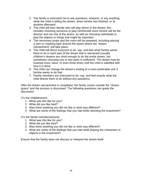- 2. The family is instructed not to ask questions, interpret, or say anything while the child is telling the dream, when he/she has finished, or at anytime afterward.
- 3. The child will then decide who will play whom in the dream; this includes choosing someone to play him/herself since he/she will be the director and not one of the actors, as well as choosing individuals to play the objects or things that might be important.
- 4. The necessary props and the room will be prepared, including placing a yarn or masking tape around the space where the "dream reenactment" will take place.
- 5. The child will direct everyone to do, say, and feel what he/she wants them to do in each part of the dream that is reenacted (usually children's dreams are short enough to do the entire dream, but sometimes choosing one or two parts is sufficient). The dream may be enacted once, twice, or even three times until the child is satisfied with how it is done.
- 6. The child can change the dream's ending to a more preferable one if he/she wants to do that.
- 7. Family members are instructed to do, say, and feel exactly what the child directs them to do without any questions.

After the dream reenactment is completed, the family comes outside the "dream space" and the process is discussed. The following questions can guide the discussion:

(To the child/director):

- 1. What was this like for you?
- 2. What did you like best?
- 3. Was there anything you did not like or wish was different?
- 4. What are some of the feelings that you had while directing the enactment?

(To the family members/actors):

- 1. What was this like for you?
- 2. What did you like best?
- 3. Was there anything you did not like or wish was different?
- 4. What are some of the feelings that you had while playing the characters or objects in the enactment?

Ensure that the family does not discuss or interpret the dream itself.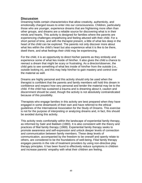### **Discussion**

Dreaming holds certain characteristics that allow creativity, authenticity, and emotionally charged issues to enter into our consciousness. Children, particularly those who are younger, experience dreams that are frightening more often than other groups, and dreams are a reliable source for discovering what is in their minds and hearts. This activity is designed for families where the parents are experiencing challenges empathizing and feeling attuned with their child. For a short period of time, and with the therapist present, a little of what lies deep in the heart of the child can be explored. The parents not only discover more about what lies within the child's heart but also experience what it is like to be there, dwell there, and what feelings their child may be experiencing.

For the child, it is an opportunity to direct his/her parents as they embody and experience some of what lies inside of him/her. It also gives the child a chance to reenact a dream that might be scary or frustrating. As a director/observer, the child gets to see something of what lies inside of him/her from the outside (i.e., outside looking in), and this may help him/her to gain mastery and control over the material as well.

Dreams are highly personal and this activity should only be used when the therapist is confident that the parents and family members will hold this dream in confidence and respect how very personal and tender the material may be to the child. If the child has sustained a trauma and is dreaming about it, caution and discernment should be used, though the activity is not absolutely contraindicated because of this possibility.

Therapists who engage families in this activity are best prepared when they have engaged in some dreamwork of their own and have referred to the ethical guidelines of the International Association for the Study of Dreams. This exercise is not for the purpose of interpreting or analyzing dreams and, in fact, this should be avoided during this activity.

This activity rests comfortably within the landscape of experiential family therapy, as informed by Satir and Baldwin (1983). It is also consistent with the theory and practices of filial family therapy (1969). Experiential family therapy seeks to promote awareness and self-expression and unlock deeper levels of connection and communication between family members. These deep levels of communication, accompanied by the freedom to be oneself and openly relate to others, are considered to be the foundations of well-being. Filial family therapy engages parents in the role of treatment providers by using non-directive play therapy principles. It has been found to effectively reduce symptoms in children and increase parents' empathy with what their children are feeling.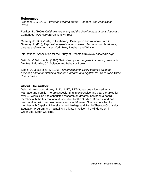#### **References**

Bleandonu, G. (2006). *What do children dream?* London: Free Association Press.

Foulkes, D. (1999). *Children's dreaming and the development of consciousness.*  Cambridge, MA: Harvard University Press.

Guerney Jr., B.G. (1969). Filial therapy: Description and rationale. In B.G. Guerney Jr. (Ed.), *Psycho-therapeutic agents: New roles for nonprofessionals, parents and teachers*. New York: Holt, Rinehart and Winston.

International Association for the Study of Dreams.*http://www.asdreams.org/*

Satir, V., & Baldwin, M. (1983).*Satir step by step: A guide to creating change in families*. Palo Alto, CA: Science and Behavior Books.

Siegel, A., & Bulkeley, K. (1998). *Dreamcatching: Every parent's guide to exploring and understanding children's dreams and nightmares.* New York: Three Rivers Press.

# **About The Author**

Deborah Armstrong Hickey, PhD, LMFT, RPT-S, has been licensed as a Marriage and Family Therapist specializing in expressive and play therapies for over 30 years. She has conducted research on dreams, has been a board member with the International Association for the Study of Dreams, and has been working with her own dreams for over 40 years. She is a core faculty member with Capella University in the Marriage and Family Therapy Counselor Education Program and maintains a private practice, The Mindgarden, in Greenville, South Carolina.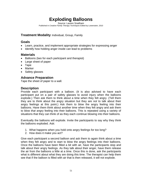# **Exploding Balloons**

Source: Lauren Snailham Published in *Creative Family Therapy Techniques* Edited by Lowenstein, 2010

# **Treatment Modality**: Individual, Group, Family

# **Goals**

- Learn, practice, and implement appropriate strategies for expressing anger
- Identify how holding anger inside can lead to problems

# **Materials**

- Balloons (two for each participant and therapist)
- Large sheet of paper
- Tape
- Marker
- Safety glasses

# **Advance Preparation**

Tape the sheet of paper to a wall.

## **Description**

Provide each participant with a balloon. (It is also advised to have each participant put on a pair of safety glasses to avoid injury when the balloons explode.) Then ask them to think about a time when they felt angry. (Tell them they are to think about the angry situation but they are *not* to talk about their angry feelings at this point.) Ask them to blow the angry feeling into their balloons. Have them think about another time when they felt angry and ask them to blow *that* angry feeling into their balloons. This is repeated using a variety of situations that they can think of as they each continue blowing into their balloons.

Eventually the balloons will explode. Invite the participants to say why they think the balloons exploded. Ask:

- 1. What happens when you hold onto angry feelings for too long?
- 2. How does it make you act?

Give each participant a second balloon and ask them to again think about a time when they felt angry and to start to blow the angry feelings into their balloons. Once the balloons have been filled a bit with air, have the participants stop and talk about their angry feelings. As they talk about their anger, have them release the air from the balloons a little at a time. Once this is done, ask the participants what is different about what they are doing this time. The therapist can help them see that if the balloon is filled with air that is then released, it will not explode.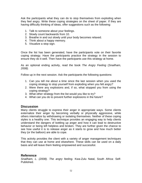Ask the participants what they can do to stop themselves from exploding when they feel angry. Write these coping strategies on the sheet of paper. If they are having difficulty thinking of ideas, offer suggestions such as the following:

- 1. Talk to someone about your feelings.
- 2. Slowly count backwards from 10.
- 3. Breathe in and out slowly until your body becomes relaxed.
- 4. Think about a happy memory.
- 5. Visualize a stop sign.

Once the list has been generated, have the participants vote on their favorite coping strategy. Have the participants practice the strategy in the session to ensure they do it well. Then have the participants use this strategy at home.

As an optional ending activity, read the book *The Angry Feeling* (*Snailham, 2008).*

Follow up in the next session. Ask the participants the following questions:

- 1. Can you tell me about a time since the last session when you used the coping strategy to stop yourself from exploding when you felt angry?
- 2. Were there any explosions and, if so, what stopped you from using the coping strategy?
- 3. What other strategy from the list would you like to try?
- 4. What can you do to prevent further explosions in the future?

### **Discussion**

Many clients struggle to express their anger in appropriate ways. Some clients externalize their anger by becoming verbally or physically aggressive, while others internalize by withdrawing or isolating themselves. Neither of these coping styles is a healthy one. This technique provides an engaging way to help clients understand the dangers of bottling up anger and how it can lead to destructive behavior or being left helpless and broken. They are further given the chance to see how useful it is to release anger as it starts to grow and how much better they (or the balloon) are able to cope.

This activity provides the client with a variety of anger management techniques that they can use at home and elsewhere. These skills can be used on a daily basis and will leave them feeling empowered and successful.

### **Reference**

*Snailham, L. (2008). The angry feeling.* Kwa-Zulu Natal, South Africa: Self-Published.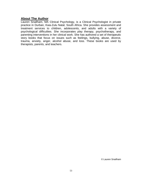### **About The Author**

Lauren Snailham, MA Clinical Psychology, is a Clinical Psychologist in private practice in Durban, Kwa-Zulu Natal, South Africa. She provides assessment and treatment services to children, adolescents, and adults with a variety of psychological difficulties. She incorporates play therapy, psychotherapy, and parenting interventions in her clinical work. She has authored a set of therapeutic story books that focus on issues such as feelings, bullying, abuse, divorce, trauma, anxiety, anger, alcohol abuse, and loss. These books are used by therapists, parents, and teachers.

© Lauren Snailham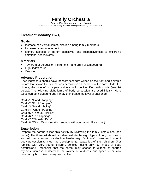# **Family Orchestra**

Source: Ken Gardner and Lorri Yasenik Published in *Creative Family Therapy Techniques* Edited by Lowenstein, 2010

## **Treatment Modality:** Family

### **Goals**

- Increase non-verbal communication among family members
- Increase parent attunement
- Identify aspects of parent sensitivity and responsiveness to children's emotional needs/states

#### **Materials**

- Toy drum or percussion instrument (hand drum or tambourine)
- Eight index cards
- One die

## **Advance Preparation**

Each index card should have the word "change" written on the front and a simple picture that shows the type of body percussion on the back of the card. Under the picture, the type of body percussion should be identified with words (see list below). The following eight forms of body percussion are used initially. More types can be included to add variety or increase the level of challenge.

Card #1: "Hand Clapping" Card #2: "Foot Stomping" Card #3: "Hand rubbing" Card #4: "Cheek Popping" Card #5: "Tongue Clicking" Card #6: "Toe Tapping" Card #7: "Shoulder Pats" Card #8: "Whoo Whoo" (making sounds with your mouth like an owl)

# **Description**

Prepare the parent to lead this activity by reviewing the family instructions (see below). The therapist should first demonstrate the eight types of body percussion and ask the parent to consider how he/she might "animate" or vary each type of body percussion to meet the developmental capacities of their children. (For families with very young children, consider using only four types of body percussion.) Emphasize that the parent may choose to extend or shorten rhythms, increase or decrease the volume or loudness, and speed up or slow down a rhythm to keep everyone involved.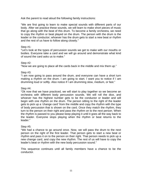Ask the parent to read aloud the following family instructions:

"We are first going to learn to make special sounds with different parts of our body. After we practice these sounds, we will learn to make short pieces of music that go along with the beat of this drum. To become a family orchestra, we need to copy the rhythm or beat played on the drum. The person with the drum is the leader or the conductor; whoever has the drum gets to start a new beat or rhythm and the rest of us have to follow along closely."

#### Step #1:

"Let's look at the types of percussion sounds we get to make with our mouths or bodies. Everyone take a card and we will go around and demonstrate what kind of sound the card asks us to make."

#### Step #2:

"Now we are going to place all the cards back in the middle and mix them up."

#### Step #3:

"I am now going to pass around the drum, and everyone can have a short turn making a rhythm on the drum. I am going to start. I want you to notice if I am drumming loud or softly. Also notice if I am drumming slow, medium, or fast."

#### Step #4:

"Ok now that we have practiced, we will start to play together so we become an orchestra with different body percussion sounds. We will roll the dice, and whoever has the highest number gets to be the conductor or leader and will begin with one rhythm on the drum. The person sitting to the right of the leader gets to pick up a 'change card' from the middle and copy the rhythm with the type of body percussion that is shown on the card. Once they match the rhythm, they turn to the person on their right and pass the rhythm on to the next person. When the rhythm is passed to you please keep playing it until it goes all the way back to the leader. Everyone stops playing when the rhythm or beat returns to the leader."

#### Step #5:

"We had a chance to go around once. Now, we will pass the drum to the next person on the right of the first leader. That person gets to start a new beat or rhythm and pass it on to the person on their right. That person needs to pick up a new change card, and copy the new rhythm. The rest of us will have to copy the leader's beat or rhythm with the new body percussion sound."

This sequence continues until all family members have a chance to be the conductor.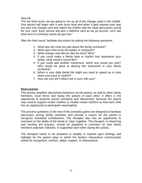Step #6:

"For the final round, we are going to mix up all of the change cards in the middle. One person will begin with a new drum beat and when it gets passed your way you pick one change card and match the rhythm with the body percussion sound for your card. Each person will pick a different card as we go around. Let's see what kind of orchestra sound we get now."

After the final round, facilitate discussion by asking the following questions:

- 1. What was the most fun part about the family orchestra?
- 2. What was it like to be the leader or conductor?
- 3. What change card did you like the best? Why?
- 4. If you could make a family beat or rhythm that represents your family, what would it sound like?
- 5. If you could add another instrument, which one would you pick? Who would be good at playing this instrument in your family orchestra?
- 6. When in your daily family life might you need to speed up or slow down your pace or rhythm?
- 7. How can you tell if others are in sync with you?

# **Discussion**

This activity amplifies attunement behaviors as the parent, as well as other family members, must mirror and replay the actions of each other. It offers a rich opportunity to examine parent sensitivity and attunement, because the parent may need to support certain children or modify certain rhythms so that each child has an opportunity to participate meaningfully.

The process questions at the end of the orchestra game are designed to facilitate discussion among family members and provide a means for the parent to recognize individual contributions. The therapist also has an opportunity to comment on the ability of the family to "play" together. The therapist, in observing and tracking the process, should be prepared to comment on how family members watched, followed, or supported each other during the activity.

The therapist needs to be prepared to amplify or expand upon feelings and highlight for the parent ways in which the family's interactions communicate needs for recognition, comfort, safety, support, or reassurance.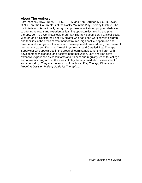### **About The Authors**

Lorri Yasenik, MSW, RFM, CPT-S, RPT-S, and Ken Gardner, M.Sc., R.Psych, CPT-S, are the Co-Directors of the Rocky Mountain Play Therapy Institute. The Institute is an internationally recognized professional training program dedicated to offering relevant and experiential learning opportunities in child and play therapy. Lorri is a Certified/Registered Play Therapy Supervisor, a Clinical Social Worker, and a Registered Family Mediator who has been working with children and families in the areas of treatment of trauma, high conflict separation and divorce, and a range of situational and developmental issues during the course of her therapy career. Ken is a Clinical Psychologist and Certified Play Therapy Supervisor who specializes in the areas of learning/adjustment, children with development challenges, and achievement motivation. Lorri and Ken have extensive experience as consultants and trainers and regularly teach for college and university programs in the areas of play therapy, mediation, assessment, and counseling. They are the authors of the book, *Play Therapy Dimensions Model: A Decision Making Guide for Therapists.* 

© Lorri Yasenik & Ken Gardner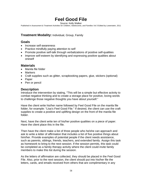# **Feel Good File**

Source: Kelly Walker

Published in Assessment & Treatment Activities for Children, Adolescents, and Families Vol 3 Edited by Lowenstein, 2011

## **Treatment Modality:** Individual, Group, Family

### **Goals**

- Increase self-awareness
- Practice mindfully paying attention to self
- Promote positive self-talk through verbalizations of positive self-qualities
- Improve self-esteem by identifying and expressing positive qualities about oneself

#### **Materials**

- Manila file folder
- Markers
- Craft supplies such as glitter, scrapbooking papers, glue, stickers (optional)
- Paper
- Pen or pencil

## **Description**

Introduce the intervention by stating, "This will be a simple but effective activity to combat negative thinking and to create a storage place for positive, loving words to challenge those negative thoughts you have about yourself."

Have the client write his/her name followed by Feel Good File on the manila file folder, for example: "Lisa's Feel Good File." If desired, the client can use the craft supplies to create a positive and uplifting design on the front of the manila file folder.

Next, have the client write ten of his/her positive qualities on a piece of paper. Have the client place this in the file.

Then have the client make a list of three people who he/she can approach and ask to write a letter of affirmation that includes a list of five positive things about him/her. Provide examples of potential people if the client needs assistance, such as parents, siblings, friends, teachers, and extended family. Assign this task as homework to bring to the next session. If the session permits, this task could be completed as a family therapy activity where the client could invite family members to make this list during the session.

As the letters of affirmation are collected, they should be placed in the Feel Good File. Also, prior to the next session, the client should put into his/her file the letters, cards, and emails received from others that are complimentary in any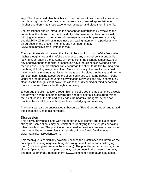way. The client could also think back to past conversations or recall times when people recognized his/her talents and assets or expressed appreciation for him/her and then write those experiences on paper and place them in the file.

The practitioner should introduce the concept of mindfulness by reviewing the contents of the file with the client mindfully. Mindfulness involves consciously bringing awareness to the here-and-now experience with openness, curiosity, and flexibility. Zinn defines mindfulness as "paying attention in a particular way: on purpose, in the present moment, and non-judgmentally" (www.actmindfully.com.au/mindfulness).

The practitioner should remind the client to be mindful of how he/she feels, what his/her thoughts are and if he/she experiences any physical sensations while looking at or reading the contents of her/his file. If the client becomes aware of any negative thought, feeling, or sensation have the client acknowledge it and then release it. The practitioner can encourage the client to do this by imagining the thought floating away on a cloud. More specifically, the practitioner could have the client imagine that his/her thoughts are like clouds in the sky and he/she can see them floating above. As the client continues to breathe deeply, he/she visualizes the negative thoughts slowly floating away until the sky is completely clear. As the thoughts float away, the client should feel his/her mind becoming more and more blank as the thoughts drift away.

Encourage the client to look through his/her Feel Good File at least once a week and/or when he/she becomes aware that negative self-talk is occurring. When the client looks at the file and challenges the negative thoughts, he/she can practice the mindfulness technique of acknowledging and releasing.

The client can also be encouraged to become a "Feel Good Hoarder" and to add additional positives to his/her folder.

### **Discussion**

This activity provides clients with the opportunity to identify and focus on their strengths. Some clients may be resistant to identifying their strengths or having other people do so. The practitioner may need to provide some examples or use props to facilitate the exercise, such as Magnificent Cards (available at www.magnificentcreations.com).

This technique is particularly powerful because the practitioner can introduce the concepts of noticing negative thoughts through mindfulness and challenging them (by showing evidence to the contrary). The practitioner can encourage the client to "pay attention in a particular way, on purpose, in the present moment, and non-judgmentally release them" (www.actmindfully.com.au/mindfulness).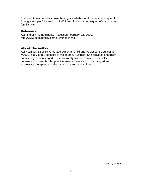The practitioner could also use the cognitive-behavioral therapy technique of "thought stopping" instead of mindfulness if this is a technique he/she is more familiar with.

#### **Reference**

Actmindfully. "Mindfulness." Accessed February, 15, 2010, http://www.actmindfully.com.au/mindfulness.

# **About The Author**

Kelly Walker, BSocSc, Graduate Diploma (Child and Adolescent Counseling), MACA, is a Youth Counselor in Melbourne, Australia. She provides generalist counseling to clients aged twelve to twenty-five and provides specialist counseling to parents. Her practice areas of interest include play, art and expressive therapies, and the impact of trauma on children.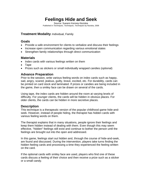# **Feelings Hide and Seek**

Source: Sueann Kenney-Noziska Published in *Techniques, Techniques, Techniques* by Noziska, 2008

### **Treatment Modality:** Individual, Family

#### **Goals**

- Provide a safe environment for clients to verbalize and discuss their feelings
- Increase open communication regarding various emotional states
- Strengthen family relationships through direct communication

#### **Materials**

- Index cards with various feelings written on them
- Tape
- Prizes such as stickers or small individually wrapped candies (optional)

## **Advance Preparation**

Prior to the session, write various feeling words on index cards such as happy, sad, angry, scared, jealous, guilty, brave, excited, etc. For durability, cards can be printed on card stock and laminated. If prizes or candies are being included in the game, then a smiley face can be drawn on several of the cards.

Using tape, the index cards are hidden around the room at varying levels of difficulty. For younger clients, the cards will be hidden in obvious places. For older clients, the cards can be hidden in more secretive places.

### **Description**

This technique is a therapeutic version of the popular childhood game hide-andseek. However, instead of people hiding, the therapist has hidden cards with various feeling words on them.

The therapist explains that in many situations, people ignore their feelings and keep them hidden instead of dealing with them. Even though this may seem effective, "hidden" feelings still exist and continue to bother the person until the feelings are brought out into the open and addressed.

In this game, feelings start out hidden and, through the course of hide-and-seek, are found and discussed. During the intervention, players take turns finding the hidden feeling cards and processing a time they experienced the feeling written on the card.

If the optional cards with smiley face are used, players who find one of these cards discuss a feeling of their choice and then receive a prize such as a sticker or a small candy.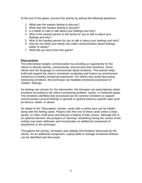At the end of the game, process the activity by asking the following questions:

- 1. What was the easiest feeling to discuss?
- 2. What was the hardest feeling to discuss?
- 3. Is it better to hide or talk about your feelings and why?
- 4. Who is the easiest person in the family for you to talk to about your feelings and why?
- 5. Who is the hardest person for you to talk to about your feelings and why?
- 6. How do you think your family can make communication about feelings better or easier?
- 7. What did you learn from this game?

#### **Discussion**

This intervention targets communication by providing an opportunity for the clients to directly identify, communicate, and process their emotions. Some clients lack the language to communicate about emotions. This activity helps build and expand the client's emotional vocabulary and fosters an environment conducive to healthy emotional expression. For clients who avoid discussing distressing emotions, this technique can facilitate emotional expression of "hidden" feelings.

As feelings are chosen for the intervention, the therapist can prescriptively select emotions according to the client's presenting problem, issues, or treatment goals. The emotions identified and processed can be common emotions to support communication around feelings in general or geared toward a specific topic such as divorce, death, or abuse.

As stated in the "Description" section, cards with a smiley face can be hidden along with the feeling cards. Players who find one of these cards select a treat, sticker, or other small prize and discuss a feeling of their choice. Although this is an optional element, the prospect of "winning" something during the course of the activity may lower defenses and incorporates an additional component of playfulness to the technique.

Throughout the activity, normalize and validate the emotions discussed by the clients. As an additional component, coping skills to manage emotional distress can be identified and discussed.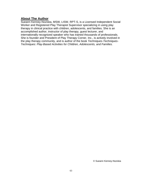# **About The Author**

Sueann Kenney-Noziska, MSW, LISW, RPT-S, is a Licensed Independent Social Worker and Registered Play Therapist Supervisor specializing in using play therapy in clinical practice with children, adolescents, and families. She is an accomplished author, instructor of play therapy, guest lecturer, and internationally recognized speaker who has trained thousands of professionals. She is founder and President of Play Therapy Corner, Inc., is actively involved in the play therapy community, and is author of the book *Techniques-Techniques-Techniques: Play-Based Activities for Children, Adolescents, and Families.* 

© Sueann Kenney-Noziska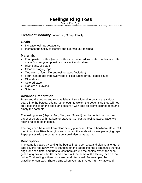# **Feelings Ring Toss**

Source: Pam Dyson

Published in Assessment & Treatment Activities for Children, Adolescents, and Families Vol 3 Edited by Lowenstein, 2011

### **Treatment Modality:** Individual, Group, Family

#### **Goals**

- Increase feelings vocabulary
- Increase the ability to identify and express four feelings

### **Materials**

- Four plastic bottles (soda bottles are preferred as water bottles are often made from recycled plastic and are not as durable)
- Rice, sand, or beans
- Clear packaging tape
- Two each of four different feeling faces (included)
- Four rings (made from two yards of clear tubing or four paper plates)
- Glue sticks
- Colored paper
- Markers or crayons
- Scissors

### **Advance Preparation**

Rinse and dry bottles and remove labels. Use a funnel to pour rice, sand, or beans into the bottles, adding just enough to weight the bottoms so they will not tip. Place the lid on the bottle and secure it with tape so clients cannot open and empty the contents.

The feeling faces (Happy, Sad, Mad, and Scared) can be copied onto colored paper or colored with markers or crayons. Cut out the feeling faces. Tape two feeling faces to each bottle.

The rings can be made from clear piping purchased from a hardware store. Cut the piping into 18-inch lengths and connect the ends with clear packaging tape. Paper plates with the center cut out could also serve as rings.

### **Description**

The game is played by setting the bottles in an open area and placing a length of tape several feet away. While standing on the taped line, the client takes the four rings, one at a time, and tries to toss them around the bottles. When the client gets a ring around a bottle, he/she calls out the name of the feeling face on that bottle. That feeling is then processed and discussed. For example, the practitioner can say, "Share a time when you had that feeling." "What would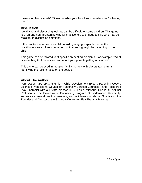make a kid feel scared?" "Show me what your face looks like when you're feeling mad."

### **Discussion**

Identifying and discussing feelings can be difficult for some children. This game is a fun and non-threatening way for practitioners to engage a child who may be resistant to discussing emotions.

If the practitioner observes a child avoiding ringing a specific bottle, the practitioner can explore whether or not that feeling might be disturbing to the child.

This game can be tailored to fit specific presenting problems. For example, "What is something that makes you sad about your parents getting a divorce?"

This game can be used in group or family therapy with players taking turns identifying the feeling faces on the bottles.

#### **About The Author**

Pam Dyson, MA, LPC, RPT, is a Child Development Expert, Parenting Coach, Licensed Professional Counselor, Nationally Certified Counselor, and Registered Play Therapist with a private practice in St. Louis, Missouri. She is an Adjunct Professor in the Professional Counseling Program at Lindenwood University, serves as a mental health consultant, and facilitates workshops. She is also the Founder and Director of the St. Louis Center for Play Therapy Training.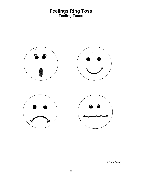

© Pam Dyson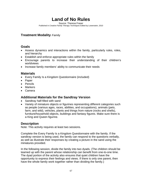# **Land of No Rules**

Source: Theresa Fraser Published in *Creative Family Therapy Techniques* Edited by Lowenstein, 2010

# **Treatment Modality:** Family

# **Goals**

- Assess dynamics and interactions within the family, particularly rules, roles, and hierarchy
- Establish and enforce appropriate rules within the family
- Encourage parents to increase their understanding of their children's worldviews
- Increase family members' ability to communicate their needs

# **Materials**

- Every Family Is a Kingdom Questionnaire (included)
- Paper
- Pencils
- Markers
- Camera

# **Additional Materials for the Sandtray Version**

- Sandtray half-filled with sand
- Variety of miniature objects or figurines representing different categories such as people (various ages, races, abilities, and occupations), animals (pets, farm, and wild), vehicles, plants and things from nature (rocks and shells), furniture/household objects, buildings and fantasy figures. Make sure there is a King and Queen figurine.

# **Description**

Note: This activity requires at least two sessions.

Complete the Every Family Is a Kingdom Questionnaire with the family. If the sandtray version is being used, the family can respond to the questions verbally, as well as illustrate their responses by creating a picture in the sand using the miniatures provided.

In the following session, divide the family into two dyads. (The children should be teamed up with the parent whose relationship can benefit from one-to-one time. The dyad portion of the activity also ensures that quiet children have the opportunity to express their feelings and views. If there is only one parent, then have the whole family work together rather than dividing the family.)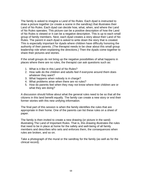The family is asked to imagine a Land of No Rules. Each dyad is instructed to draw a picture together (or create a scene in the sandtray) that illustrates their Land of No Rules. Each dyad can decide how, what, when, and where the Land of No Rules operates. This picture can be a positive description of how the Land of No Rules is viewed or it can be a negative description. This is up to each small group of family members. Next, each dyad creates a story about their Land of No Rules. The parent in each dyad is asked to write down the story that is created. This is especially important for dyads where children have difficulty honoring the authority of their parents. (The therapist needs to be clear about this small group leadership role when explaining the directions.) Then the dyads come together to share their pictures and stories.

If the small groups do not bring up the negative possibilities of what happens in places where there are no rules, the therapist can ask questions such as:

- 1. What is it like in this Land of No Rules?
- 2. How safe do the children and adults feel if everyone around them does whatever they want?
- 3. What happens when nobody is in charge?
- 4. What problems arise when there are no rules?
- 5. How do parents feel when they may not know where their children are or what they are doing?

A discussion should follow about what the general rules need to be so that all the citizens in this land benefit equally. The family can create a new story or end their former stories with this new unifying information.

The final part of this session is when the family identifies the rules that are appropriate in their home. One of the parents can list these rules on a sheet of paper.

The family is then invited to create a new drawing (or picture in the sand) illustrating The Land of Important Rules. That is, this drawing illustrates the rules that need to be in place at home for the safety and well-being of all family members and describes who sets and enforces them, the consequences when rules are broken, and so on.

Take a photograph of the mural or the sandtray for the family (as well as for the clinical record).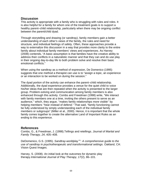### **Discussion**

This activity is appropriate with a family who is struggling with rules and roles. It is also helpful for a family for whom one of the treatment goals is to support a healthy parent–child relationship, particularly when there may be ongoing conflict between the parent/child dyad.

Through storytelling and drawing (or sandtray), family members gain a better understanding of each other's views of the family, the rules and need for structure, and individual feelings of safety. Often, these approaches provide a way to externalize this discussion in a way that provides more clarity to the entire family about individual family members' views and experiences. As Harvey (2008) contends, "A basic assumption is that families have the creative ability to address their conflicts in a naturalistic manner and that they can and do use play in their ongoing day-to-day life to both problem solve and resolve their basic emotional conflicts."

When using the sandtray as a method of expression, De Domenico (1995) suggests that one method a therapist can use is to "assign a topic, an experience or an interaction to be worked on during the session."

The dyad portion of the activity can enhance the parent–child relationship. Additionally, the dyad experience provides a venue for the quiet child to voice his/her ideas that are then repeated when the activity is presented to the larger group. Problem-solving and communication among family members is also enhanced through this activity. Combs and Freedman (1998) write, "We interact with family members one at a time, inviting the others present to serve as an audience,'' which, they argue, ''makes family relationships more visible'' by helping members ''hear instead of defend." That said, "family functioning cannot be fully understood by simply understanding each of the individual family members or subgroups" (Miller et al., 2000). Hence, it is important that the whole family comes together to create the alternative Land of Important Rules as an ending to this experience.

#### **References**

Combs, G., & Freedman, J. (1998).Tellings and retellings. *Journal of Marital and Family Therapy*, *24*, 405–408.

DeDomenico, G.S. (1995). *Sandtray-worldplay*™*: A comprehensive guide to the use of sandtray in psychotherapeutic and transformational settings*. Oakland, CA: Vision Quest Images.

Harvey, S. (2008). An initial look at the outcomes for dynamic play therapy.*International Journal of Play Therapy*, *17*(2), 86–101.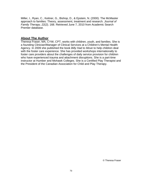Miller, I., Ryan, C., Keitner, G., Bishop, D., & Epstein, N. (2000). The McMaster approach to families: Theory, assessment, treatment and research. *Journal of Family Therapy*, *22(2),* 168. Retrieved June 7, 2010 from Academic Search Premier database.

#### **About The Author**

Theresa Fraser, MA, CYW, CPT, works with children, youth, and families. She is a founding Clinician/Manager of Clinical Services at a Children's Mental Health Agency. In 2009 she published the book *Billy Had to Move* to help children deal with the foster care experience. She has provided workshops internationally to foster care providers about the challenges of daily service provision for children who have experienced trauma and attachment disruptions. She is a part-time instructor at Humber and Mohawk Colleges. She is a Certified Play Therapist and the President of the Canadian Association for Child and Play Therapy.

© Theresa Fraser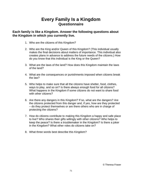## **Every Family Is a Kingdom Questionnaire**

## **Each family is like a Kingdom. Answer the following questions about the Kingdom in which you currently live.**

- 1. Who are the citizens of this Kingdom?
- 2. Who are the King and/or Queen of this Kingdom? (This individual usually makes the final decisions about matters of importance. This individual also creates plans in advance to address the future needs of the citizens.) How do you know that this individual is the King or the Queen?
- 3. What are the laws of the land? How does this Kingdom maintain the laws of the land?
- 4. What are the consequences or punishments imposed when citizens break the law?
- 5. Who helps to make sure that all the citizens have shelter, food, clothes, ways to play, and so on? Is there always enough food for all citizens? What happens in the Kingdom if some citizens do not want to share food with other citizens?
- 6. Are there any dangers in this Kingdom? If so, what are the dangers? Are the citizens protected from this danger and, if yes, how are they protected – do they protect themselves or are there others who are in charge of protecting the citizens?
- 7. How do citizens contribute to making this Kingdom a happy and safe place to live? Who shares their gifts willingly with other citizens? Who helps to keep the peace? Is there a troublemaker in the Kingdom? Is there a joker in the Kingdom? What other roles do citizens take on?
- 8. What three words best describe this Kingdom?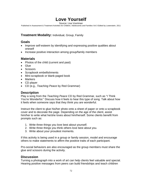## **Love Yourself**

Source: Lisa Voortman

Published in Assessment & Treatment Activities for Children, Adolescents and Families Vol 3 Edited by Lowenstein, 2011

## **Treatment Modality:** Individual, Group, Family

### **Goals**

- Improve self-esteem by identifying and expressing positive qualities about oneself
- Increase positive interaction among group/family members

## **Materials**

- Photos of the child (current and past)
- Glue
- Scissors
- Scrapbook embellishments
- Mini-scrapbook or blank-paged book
- Markers
- CD player
- CD (e.g., *Teaching Peace* by Red Grammar)

## **Description**

Play a song from the *Teaching Peace* CD by Red Grammar, such as "I Think You're Wonderful." Discuss how it feels to hear this type of song. Talk about how it feels when someone says that they think you are wonderful.

Instruct the client to glue his/her photo onto a sheet of paper or onto a scrapbook cover and to decorate the page. Depending on the age of the client, assist him/her to write what he/she loves about him/herself. Some clients benefit from prompts such as:

- 1. Write three things you love best about yourself.
- 2. Write three things you think others love best about you.
- 3. Write about your proudest moments.

If this activity is being used in a group or family session, model and encourage others to make statements to affirm the positive traits of each participant.

Pro-social behaviors are also encouraged as the group members must share the glue and scissors during the activity.

#### **Discussion**

Turning a photograph into a work of art can help clients feel valuable and special. Hearing positive messages from peers can build friendships and teach children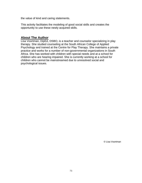the value of kind and caring statements.

This activity facilitates the modeling of good social skills and creates the opportunity to use these newly acquired skills.

### **About The Author**

Lisa Voortman, DipEd, DSBO, is a teacher and counselor specializing in play therapy. She studied counseling at the South African College of Applied Psychology and trained at the Centre for Play Therapy. She maintains a private practice and works for a number of non-governmental organizations in South Africa. She has worked with children with special needs and at a school for children who are hearing impaired. She is currently working at a school for children who cannot be mainstreamed due to unresolved social and psychological issues.

© Lisa Voortman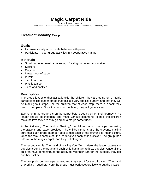## **Magic Carpet Ride**

Source: Liana Lowenstein

Published in *Creative Interventions for Troubled Children and Youth* by Lowenstein, 1999

## **Treatment Modality:** Group

#### **Goals**

- Increase socially appropriate behavior with peers
- Participate in peer group activities in a cooperative manner

## **Materials**

- Small carpet or towel large enough for all group members to sit on
- Stickers
- Crayons
- Large piece of paper
- Puzzle
- Jar of bubbles
- Plastic tea set
- Juice and cookies

## **Description**

The group leader enthusiastically tells the children they are going on a magic carpet ride! The leader states that this is a very special journey, and that they will be making four stops. Tell the children that at each stop, there is a task they need to complete. Once the task is completed, they will get a sticker.

Everyone in the group sits on the carpet before setting off on their journey. (The leader should be theatrical and make various comments to help the children make believe they are truly going on a magic carpet ride!)

At the first stop, "The Land of Sharing," the children must color a picture, using the crayons and paper provided. The children must share the crayons, making sure that each group member gets to use each of the crayons for their picture. Once the task is completed, the leader gives each child a sticker. The group then piles onto the magic carpet, and they set off again.

The second stop is "The Land of Waiting Your Turn." Here, the leader passes the bubbles around the group and each child has a turn to blow bubbles. Once all the children have demonstrated the ability to wait their turn for the bubbles, they get another sticker.

The group sits on the carpet again, and they set off for the third stop, "The Land of Working Together." Here the group must work cooperatively to put the puzzle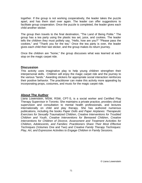together. If the group is not working cooperatively, the leader takes the puzzle apart, and has them start over again. The leader can offer suggestions to facilitate group cooperation. Once the puzzle is completed, the leader gives each child another sticker.

The group then travels to the final destination, "The Land of Being Polite." The group has a tea party using the plastic tea set, juice, and cookies. The leader tells the children they must politely say, "Hello, how are you?" "Please pass the cookies," and "Thank you for the tea." Once the tea party is over, the leader gives each child their last sticker, and the group makes its return journey.

Once the children are "home," the group discusses what was learned at each stop on the magic carpet ride.

#### **Discussion**

This activity uses imaginative play to help young children strengthen their interpersonal skills. Children will enjoy the magic carpet ride and the journey to the various "lands." Awarding stickers for appropriate social interaction reinforces their positive behavior. The practitioner can make this activity more appealing by incorporating props, costumes, and music for the magic carpet ride.

#### **About The Author**

Liana Lowenstein, MSW, RSW, CPT-S, is a social worker and Certified Play Therapy Supervisor in Toronto. She maintains a private practice, provides clinical supervision and consultation to mental health professionals, and lectures internationally on child and play therapy. She has authored numerous publications, including the books *Paper Dolls and Paper Airplanes: Therapeutic Exercises for Sexually Traumatized Children*, *Creative Interventions for Troubled Children and Youth*, *Creative Interventions for Bereaved Children*, *Creative Interventions for Children of Divorce*, *Assessment and Treatment Activities for Children, Adolescents, and Families: Practitioners Share Their Most Effective Techniques* (Volumes One and Two) *and Creative Family Therapy Techniques: Play, Art, and Expressive Activities to Engage Children in Family Sessions.*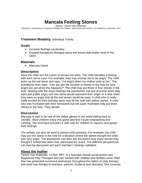# **Mancala Feeling Stones**

Source: Tammi Van Hollander

Published in Assessment & Treatment Activities for Children, Adolescents and Families Vol 3 Edited by Lowenstein, 2011

## **Treatment Modality**: Individual, Family

### **Goals**

- Increase feelings vocabulary
- Expand therapeutic dialogue about the issues that matter most to the client

## **Materials**

• Mancala Game

## **Description**

Have the child sort the colors of stones into piles. The child identifies a feeling with each stone color. For example, they may choose red to be angry. The child picks up the red stone and says, "I'm angry when my mother yells at me." The practitioner then says, "Can you put the number of stones in the hole for how angry you get when this happens?" The child may put three or four stones in the hole. Sticking with the angry feelings the practitioner can ask of a time when they were just a little angry and one stone would represent their anger or a time when they were so angry that all the red stones would be used. A child who is really really excited for their birthday party may fill the hole with yellow stones. A child who was frustrated with their homework but not super frustrated may put three stones in the hole. They decide.

## **Discussion**

Mancala is said to be one of the oldest games in the world dating back to 1400BC. Most children enjoy this game and find it quite empowering and calming. *The technique provides a safe way for children to express and gauge their feelings.* 

The activity can also be used in parent-child sessions. For example, the child may put one stone in the hole for a situation where the parent thought the child was very angry. The practitioner can then ask the parent how many stones they thought it looked like when they witnessed the event. The different perspectives can then be discussed and each member's feelings validated.

## **About the Author**

Tammi Van Hollander, LCSW, RPT, is a licensed clinical social worker and Registered Play Therapist who has worked with children and families since 1990. She has presented numerous workshops throughout the nation on play therapy and sand tray therapy to teachers, parents, students and clinicians. She currently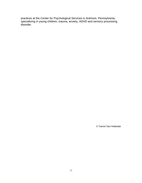practices at the Center for Psychological Services in Ardmore, Pennsylvania, specializing in young children, trauma, anxiety, ADHD and sensory processing disorder.

© Tammi Van Hollander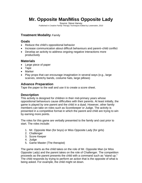## **Mr. Opposite Man/Miss Opposite Lady**

Source: Steve Harvey Published in *Creative Family Therapy Techniques* Edited by Lowenstein, 2010

## **Treatment Modality:** Family

### **Goals**

- Reduce the child's oppositional behavior
- Increase communication about difficult behaviours and parent–child conflict
- Develop an activity to address ongoing negative interactions more productively

### **Materials**

- Large piece of paper
- Tape
- Marker
- Play props that can encourage imagination in several ways (e.g., large scarves, stretchy bands, costume hats, large pillows)

## **Advance Preparation**

Tape the paper to the wall and use it to create a score sheet.

## **Description**

This activity is designed for children in their mid-primary years whose oppositional behaviours cause difficulties with their parents. At least initially, the game is played by one parent and the child in a dyad. However, other family members can take on roles such as Scorekeeper or Judge. The activity is presented in a competitive format in which the parent and child are trying to win by earning more points.

The roles for this game are verbally presented to the family and cast prior to start. The roles include:

- 1. Mr. Opposite Man (for boys) or Miss Opposite Lady (for girls)
- 2. Challenger
- 3. Score Keeper
- 4. Judge
- 5. Game Master (The therapist)

The game starts as the child takes on the role of Mr. Opposite Man (or Miss Opposite Lady) and the parent takes on the role of Challenger. The competition proceeds as the parent presents the child with a command such as "stand up." The child responds by trying to perform an action that is the opposite of what is being asked. For example, the child might sit down.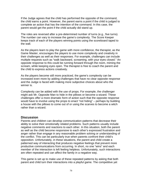If the Judge agrees that the child has performed the opposite of the command, the child earns a point. However, the parent earns a point if the child is judged to complete an action that has the intention of the command. In this case, the parent would get the point if the child actually did stand up.

The roles are reversed after a pre-determined number of turns (e.g., five turns). The number can vary to increase the game's complexity. The Score Keeper keeps track of each of the players winning points using the scoreboard taped to the wall.

As the players learn to play the game with more confidence, the therapist, as the Game Master, encourages the players to use more complexity and creativity in their challenges as well as their responses. For example, challenges can include multiple requests such as "walk backward, screaming, with your eyes closed." An opposite response to this could be running forward through the room, miming the scream, while keeping eyes open. The therapist is free to coach the parent and the child to express actions creatively.

As the players become still more practiced, the game's complexity can be increased even more by adding challenges that have no clear opposite response and the Judge is faced with making more subjective choices about who the winner is.

Complexity can be added with the use of props. For example, the challenger might ask Mr. Opposite Man to hide in the pillows or become a wizard. These challenges offer a more dramatic form of action such that the opposite response would have to involve using the props to enact "not hiding" – perhaps by building a house with the pillows to come out of or using the scarves to become a witch rather than a wizard.

#### **Discussion**

Parents and children can develop communication patterns that decrease their ability to solve their emotionally related problems. Such patterns usually include negative comments and reactions to each other. In this situation, both the parent as well as the child become responsive to each other's expressed frustration and anger rather than engage in any reasonable problem solving or understanding of the conflict. This can be particularly true when parents confront their child's opposition. Unfortunately, in these situations, the parent and child create a patterned way of interacting that produces negative feelings that prevent more productive communications from occurring. In short, no one "wins" and each member of the interaction is left feeling helpless. Unfortunately, such interactions are often repeated and can affect the family in a negative way.

This game is set up to make use of these repeated patterns by asking that both parent and child turn their interactions into a playful game. The competitive yet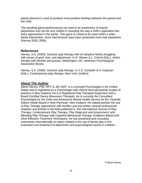playful element is used to produce more positive feelings between the parent and the child.

The resulting game performances can lead to an experience of shared playfulness and can be very helpful in changing the way a child's opposition has been approached in the family. This game is meant to be used within a wider family intervention. Such interventions have been presented more fully elsewhere (Harvey 2003, 2006).

#### **References**

Harvey, S.A. (2003). Dynamic play therapy with an adoptive family struggling with issues of grief, loss, and adjustment. In D. Wiener & L. Oxford (Eds.), *Action therapy with families and groups*. Washington, DC: American Psychological Association Books.

Harvey, S.A. (2006). Dynamic play therapy. In C.E. Schaefer & H. Kaduson (Eds.), *Contemporary play therapy.* New York: Guilford.

#### **About The Author**

Steve Harvey, PhD, RPT-S, BC-DMT, is a Licensed Psychologist in the United States and is registered as a Psychologist with clinical and educational scopes of practice in New Zealand. He is a Registered Play Therapist Supervisor and a Board Certified Dance Movement Therapist. He is currently the Consultant Psychologist for the Child and Adolescent Mental Health Service for the Taranaki District Health Board in New Plymouth, New Zealand. He helped pioneer the use of Play Therapy approaches with families and has written several professional chapters and articles in the field published in *The International Journal of Play Therapy, Contemporary Play Therapy*, *Play Diagnosis and Assessment*, and *Blending Play Therapy with Cognitive Behavioral Therapy: Evidence-Based and other Effective Treatment Techniques*. He has presented and consulted extensively internationally on topics related to the use of family play in the evaluation and treatment of attachment and psychological trauma in children.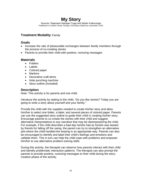## **My Story**

Sources: Rajeswari Natrajan-Tyagi and Nilufer Kafescioglu Published in *Creative Family Therapy Techniques* Edited by Lowenstein, 2010

## **Treatment Modality:** Family

#### **Goals**

- Increase the rate of pleasurable exchanges between family members through the process of co-creating stories
- Parents to provide their child with positive, nurturing messages

## **Materials**

- Folders
- Labels
- Colored paper
- Markers
- Decorative craft items
- Hole punching machine
- Story outline (included)

### **Description**

Note: This activity is for parents and one child.

Introduce the activity by stating to the child, "Do you like stories? Today you are going to write a story about yourself and your family."

Provide the child with the supplies needed to create his/her story and allow him/her to select one folder, a label, and several pieces of colored paper. Parents can use the suggested story outline to guide their child in creating his/her story. Encourage parents to co-create the stories with their child and suggest alternative interpretations to any narrative that may be disempowering the child. For example, if the child describes a bad day he/she had as he/she was teased by friends for falling off the swing, the parent can try to strengthen an alternative plot where the child handled the teasing in an appropriate way. Parents can also be encouraged to identify and label their child's feelings and emotions and validate them. This in turn can help the child cope with problems and empower him/her to use alternative problem-solving skills.

During this activity, the therapist can observe how parents interact with their child and identify problematic interaction patterns. The therapist can also prompt the parents to provide positive, nurturing messages to their child during the storycreation phase of the activity.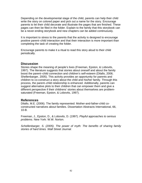Depending on the developmental stage of the child, parents can help their child write the story on colored paper and pick out a name for the story. Encourage parents to let their child decorate and illustrate the pages that are finished. These pages can then be filed in the folder. Explain to the family that this storybook can be a never-ending storybook and new chapters can be added continuously.

It is important to stress to the parents that the activity is designed to encourage positive parent–child interaction and that their interaction is more important than completing the task of creating the folder.

Encourage parents to make it a ritual to read this story aloud to their child periodically.

#### **Discussion**

Stories shape the meaning of people's lives (Freeman, Epston, & Lobovits, 1997). The literature suggests that stories about oneself and about the family boost the parent–child connection and children's self-esteem (Dilallo, 2006; Shellenbarger, 2005). This activity provides an opportunity for parents and children to co-construct a story about the child and his/her family. Through this process, the parent–child relationship is enhanced. Additionally, parents can suggest alternative plots to their children that can empower them and give a different perspective if their childrens' stories about themselves are problemsaturated (Freeman, Epston, & Lobovits, 1997).

#### **References**

Dilallo, M.E. (2006). The family represented: Mother-and-father-child coconstructed narratives about families. Dissertation Abstracts International, 66, 10-B.

Freeman, J., Epston, D., & Lobovits, D. (1997). *Playful approaches to serious problems*. New York: W.W. Norton.

*Schellenbarger, S. (2005). The power of myth: The benefits of sharing family stories of hard times. Wall Street Journal.*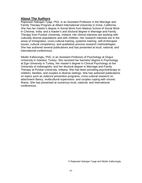#### **About The Authors**

Rajeswari Natrajan-Tyagi, PhD, is an Assistant Professor in the Marriage and Family Therapy Program at Alliant International University in Irvine, California. She has her master's degree in Social Work from Madras School of Social Work in Chennai, India, and a master's and doctoral degree in Marriage and Family Therapy from Purdue University, Indiana. Her clinical interests are working with culturally diverse populations and with children. Her research interests are in the areas of immigration, cross-cultural training, systemic training, self-of-therapist issues, cultural competency, and qualitative process research methodologies. She has authored several publications and has presented at local, national, and international conferences.

Nilufer Kafescioglu, PhD, is an Assistant Professor of Psychology at Dogus University in Istanbul, Turkey. She received her bachelor degree in Psychology at Ege University in Turkey, her master's degree in Clinical Psychology at the University of Indianapolis, and her doctoral degree in Marriage and Family Therapy at Purdue University, Indiana. She has been providing psychotherapy to children, families, and couples in diverse settings. She has authored publications on topics such as violence prevention programs, cross-cultural research on attachment theory, multicultural supervision, and couples coping with chronic illness. She has presented at numerous local, national, and international conferences.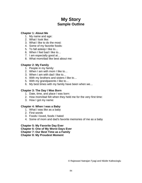## **My Story Sample Outline**

#### **Chapter 1: About Me**

- 1. My name and age:
- 2. What I look like:
- 3. What I like to do the most:
- 4. Some of my favorite foods:
- 5. To fall asleep I like to…
- 6. When I feel bad I like to…
- 7. I am especially good at…
- 8. What mom/dad like best about me:

#### **Chapter 2: My Family**

- 1. People in my family:
- 2. When I am with mom I like to…
- 3. When I am with dad I like to…
- 4. With my brothers and sisters I like to…
- 5. With my grandparents I like to…
- 6. My best times with my family have been when we…

#### **Chapter 3: The Day I Was Born**

- 1. Date, time, and place I was born:
- 2. How mom/dad felt when they held me for the very first time:
- 3. How I got my name:

#### **Chapter 4: When I was a Baby**

- 1. What I was like as a baby
- 2. First words
- 3. Foods I loved, foods I hated
- 4. Some of mom and dad's favorite memories of me as a baby

## **Chapter 5: My Favorite Day Ever**

**Chapter 6: One of My Worst Days Ever** 

**Chapter 7: Our Best Time as a Family** 

#### **Chapter 8: My Proudest Moment**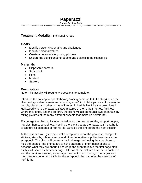## **Paparazzi**

Source: Donicka Budd

Published in Assessment & Treatment Activities for Children, Adolescents, and Families Vol 1 Edited by Lowenstein, 2008

#### **Treatment Modality:** Individual, Group

#### **Goals**

- Identify personal strengths and challenges
- Identify personal values
- Create a personal story using pictures
- Explore the significance of people and objects in the client's life

#### **Materials**

- Disposable camera
- Scrapbook
- Pens
- Markers
- Stickers

#### **Description**

Note: This activity will require two sessions to complete.

Introduce the concept of "phototherapy" (using cameras to tell a story). Give the client a disposable camera and encourage her/him to take pictures of meaningful people, places, and other points of interest in her/his life. Like the celebrities in Hollywood where the paparazzi take pictures of them, their homes, families, where they shop, eat and so forth, the client will act as her/his own paparazzi by taking pictures of the many different aspects that make up her/his life.

Encourage the client to include the following themes: strengths, support people, hobbies, home, school, etc. Remind the client that as the "paparazzi," she/he is to capture all elements of her/his life. Develop the film before the next session.

At the next session, give the client a scrapbook to put the photos in, along with stickers, stencils, rubber stamps and other decorative supplies to enhance the scrapbook. The client will create a "tabloid magazine" using the scrapbook to hold the photos. The photos are to have captions or short descriptions to describe what they are about. Encourage the client to leave the first page blank as this will serve as the cover page. After all of the pictures have been pasted in and the captions created, encourage the client to look through the pages and then create a cover and a title for the scrapbook that captures the essence of her/his life.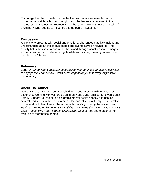Encourage the client to reflect upon the themes that are represented in the photographs. Ask how his/her strengths and challenges are revealed in the photos, or what values are represented. What does the client notice is missing (if anything)? What seems to influence a large part of his/her life?

#### **Discussion**

A client who presents with social and emotional challenges may lack insight and understanding about the impact people and events have on his/her life. This activity helps the client to portray his/her world through visual, concrete images, and enables her/him to share thoughts while associating meaning to events and people in her/his life.

#### **Reference**

Budd, D. *Empowering adolescents to realize their potential: Innovative activities to engage the 'I don't know, I don't care' responsive youth through expressive arts and play.* 

## **About The Author**

Donicka Budd, CYW, is a certified Child and Youth Worker with ten years of experience working with vulnerable children, youth, and families. She works as a Family Support Counselor in a children's mental health agency and has led several workshops in the Toronto area. Her innovative, playful style is illustrative of her work with her clients. She is the author of *Empowering Adolescents to Realize Their Potential: Innovative Activities to Engage the "I Don't Know, I Don't Care" Responsive Youth through Expressive Arts and Play* and creator of her own line of therapeutic games.

© Donicka Budd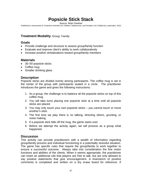# **Popsicle Stick Stack**

Source: Brijin Gardner

Published in Assessment & Treatment Activities for Children, Adolescents, and Families Vol 2 Edited by Lowenstein, 2010

#### **Treatment Modality:** Group, Family

#### **Goals**

- Provide challenge and structure to assess group/family function
- Evaluate and improve client's ability to work collaboratively
- Increase positive verbalizations toward group/family members

## **Materials**

- 30–50 popsicle sticks
- Coffee mug
- Smaller drinking glass

#### **Description**

Popsicle sticks are divided evenly among participants. The coffee mug is set in the center of the group with participants seated in a circle. The practitioner introduces the game and gives the following instructions:

- 1. As a group, the challenge is to balance all the popsicle sticks on top of this coffee mug.
- 2. You will take turns placing one popsicle stick at a time until all popsicle sticks are placed.
- 3. You may only touch your own popsicle sticks you cannot touch or move another's stick.
- 4. The first time we play there is no talking, directing others, grunting, or noise making.
- 5. If a popsicle stick falls off the mug, the game starts over.
- 6. Before we attempt the activity again, we will process as a group what happened.

#### **Discussion**

This activity can provide practitioners with a wealth of information regarding group/family process and individual functioning in a potentially stressful situation. The game has specific rules that require the group/family to work together to ensure a successful outcome. Always take into consideration the fine motor functions and abilities of the clients. When it seems appropriate, the practitioner can insert an additional rule that players are free to talk, but are only allowed to say positive statements that give encouragement. A brainstorm of positive comments is completed and written on a dry erase board for reference. If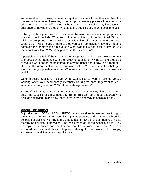someone directs, bosses, or says a negative comment to another member, the process will start over. However, if the group successfully places all their popsicle sticks on top of the coffee mug without any of them falling off, increase the challenge by having the group try to place the popsicle sticks on a smaller glass.

If the group/family successfully completes the task on the first attempt, process questions could include: What was it like to do this right the first time? Did you think the group could do it? Did you ever feel like telling someone in the group what to do? Was it easy or hard to stop yourself from talking? How did it feel to complete this game without mistakes? What was it like not to talk? How do you feel about your team? What helped make this successful?

If popsicle sticks fall off the mug and the group must begin again, take a moment to process what happened with the following questions: What can the group do to make it work better the next time? Is anyone upset about how this turned out? How did the group feel when the popsicle stick fell? If intentionally sabotaged, ask how the group feels about that. What needs to happen next time to make this work?

Other process questions include: What was it like to work in silence versus working when your peers/family members could give encouragement to you? What made this game hard? What made this game easy?

A group/family may play this game several times before they figure out how to stack the popsicle sticks without any falling. This can be a good opportunity to discuss not giving up and how there is more than one way to achieve a goal.

#### **About The Author**

Brijin Gardner, LSCSW, LCSW, RPT-S, is a clinical social worker practicing in the Kansas City area. She maintains a private practice and contracts with public schools specializing with BD and ED populations. She provides trainings in play therapy and clinical supervision. She has presented at the Association for Play Therapy Conferences and the International Theraplay® Conference. She has authored articles and book chapters relating to her work with groups, adolescents, and Theraplay® applications.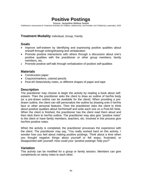## **Positive Postings**

Source: Jacqueline Melissa Swank

Published in Assessment & Treatment Activities for Children, Adolescents, and Families Vol 2 Edited by Lowenstein, 2010

#### **Treatment Modality**: Individual, Group, Family

#### **Goals**

- Improve self-esteem by identifying and expressing positive qualities about oneself through writing/drawing and verbalization
- Promote positive interactions with others through a discussion about one's positive qualities with the practitioner or other group members, family members, etc.
- Promote positive self-talk through verbalization of positive self-qualities

#### **Materials**

- Construction paper
- Crayons/markers, colored pencils
- Post-it® Notes/sticky notes, or different shapes of paper and tape

#### **Description**

The practitioner may choose to begin the activity by reading a book about selfesteem. Then the practitioner asks the client to draw an outline of her/his body (or a pre-drawn outline can be available for the client). When providing a predrawn outline, the client can still personalize the outline by drawing onto it her/his face or other personal features. Then the practitioner asks the client to think about positive qualities about her/himself and write each one on a Post-it® Note. When the client is finished, the practitioner has the client read them aloud and then stick them to her/his outline. The practitioner may also give "positive notes" to the client or have family members, teachers, etc. involved in this process give her/him positive notes.

When the activity is completed, the practitioner processes the experience with the client. The practitioner may say, "You really worked hard on this activity. I wonder how you feel about making positive postings. Think about a time when you thought negative things about yourself or felt angry, frustrated, or disappointed with yourself. How could your 'positive postings' help you?"

#### **Variation**

This activity can be modified for a group or family session. Members can give compliments on sticky notes to each other.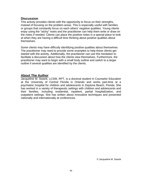#### **Discussion**

This activity provides clients with the opportunity to focus on their strengths, instead of focusing on the problem areas. This is especially useful with families or groups that constantly focus on each others' negative qualities. Young clients enjoy using the "sticky" notes and the practitioner can help them write or draw on the notes if needed. Clients can place the positive notes in a special place to look at when they are having a difficult time thinking about positive qualities about themselves.

Some clients may have difficulty identifying positive qualities about themselves. The practitioner may need to provide some examples to help these clients get started with the activity. Additionally, the practitioner can use this hesitation to facilitate a discussion about how the clients view themselves. Furthermore, the practitioner may want to begin with a small body outline and switch to a larger outline if several qualities are identified by the clients.

#### **About The Author**

Jacqueline M. Swank, LCSW, RPT, is a doctoral student in Counselor Education at the University of Central Florida in Orlando and works part-time at a psychiatric hospital for children and adolescents in Daytona Beach, Florida. She has worked in a variety of therapeutic settings with children and adolescents and their families, including residential, inpatient, partial hospitalization, and outpatient settings. She has written about innovative techniques and presented nationally and internationally at conferences.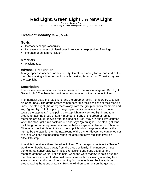## **Red Light, Green Light…A New Light**

Source: Angela Siu Published in *Creative Family Therapy Techniques* Edited by Lowenstein, 2010

### **Treatment Modality:** Group, Family

#### **Goals**

- Increase feelings vocabulary
- Increase awareness of visual cues in relation to expression of feelings
- Increase open communication

## **Materials**

• Masking tape

### **Advance Preparation**

A large space is needed for this activity. Create a starting line at one end of the room by marking a line on the floor with masking tape (about 20 feet away from the stop light).

## **Description**

The present intervention is a modified version of the traditional game "Red Light, Green Light." The therapist provides an explanation of the game as follows:

The therapist plays the "stop light" and the group or family members try to touch his or her back. The group or family members take their positions at their starting lines. The stop light (therapist) faces away from the group or family members and says "green light." At this point, the group or family members have to move toward the stoplight. At any point, the stop light may say "red light!" and turn around to face the group or family members. If any of the group or family members are caught moving after this has occurred, they are out. Play resumes when the stop light turns back around and says "green light." The stop light wins if all the group or family members are out before anyone is able to touch him/her. Otherwise, the first player to touch the stop light wins the game and earns the right to be the stop light for the next round of the game. Players are cautioned not to run or walk too fast because, when the stop light says red light, it will be difficult to stop.

A modified version is then played as follows: The therapist shouts out a "feeling" word when he/she faces away from the group or family. The members must demonstrate nonverbally (with facial expressions and body gestures) the meaning of these words. For example, when the word "happy" is called out, the members are expected to demonstrate actions such as showing a smiling face, arms in the air, and so on. After counting from one to three, the therapist turns around facing the group or family. He/she will then comment on the gestures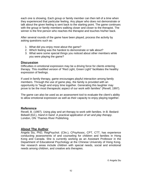each one is showing. Each group or family member can then tell of a time when they experienced that particular feeling. Any player who does not demonstrate or talk about the given feeling is sent back to the starting point. The game continues with the group or family members walking closer and closer to the therapist. The winner is the first person who reaches the therapist and touches his/her back.

After several rounds of the game have been played, process the activity by asking questions such as:

- 1. What did you enjoy most about the game?
- 2. Which feeling was the hardest to demonstrate or talk about?
- 3. What were some special things you noticed about other members while you were playing the game?

#### **Discussion**

Difficulties in emotional expression may be a driving force for clients entering therapy. This modified version of "Red Light, Green Light" facilitates the healthy expression of feelings.

If used in family therapy, game encourages playful interaction among family members. Through the use of game play, the family is provided with an opportunity to "laugh and enjoy time together. Generating this laughter may prove to be the most therapeutic aspect of our work with families" (Revell, 1997).

The game can also be used as an assessment tool to evaluate the client's ability to allow emotional expression as well as their capacity to enjoy playing together.

#### **Reference**

Revell, B. (1997). Using play and art therapy to work with families. In B. Bedard-Bidwell (Ed.), *Hand in hand: A practical application of art and play therapy*. London, ON: Thames River Publishing.

## **About The Author**

Angela Siu, PhD, RegPsychol. (Clin.), CPsyAssoc, CPT, CTT, has experience conducting assessments of and counseling for children and families in Hong Kong and Canada. She is currently working as an Assistant Professor in the Department of Educational Psychology at the Chinese University of Hong Kong. Her research areas include children with special needs, social and emotional needs among children, and creative arts therapies.

© Angela Siu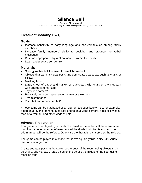## **Silence Ball**

Source: Shlomo Ariel Published in *Creative Family Therapy Techniques* Edited by Lowenstein, 2010

## **Treatment Modality:** Family

#### **Goals**

- Increase sensitivity to body language and non-verbal cues among family members
- Increase family members' ability to decipher and produce non-verbal messages
- Develop appropriate physical boundaries within the family
- Learn and practice self control

### **Materials**

- Spongy rubber ball the size of a small basketball
- Objects that can mark goal posts and demarcate goal areas such as chairs or pillows
- Masking tape
- Large sheet of paper and marker or blackboard with chalk or a whiteboard with appropriate markers
- Toy video camera\*
- Relatively large doll representing a man or a woman\*
- Toy microphone\*
- Visor hat and a brimmed hat\*

\*These items can be purchased or an appropriate substitute will do, for example, a pen as a toy microphone, a cellular phone as a video camera, a big pillow as a man or a woman, and other kinds of hats.

#### **Advance Preparation**

This game can be played by a family of at least four members. If there are more than four, an even number of members will be divided into two teams and the odd man out will be the referee. Otherwise the therapist can serve as the referee.

The game can be played in a space that is five square yards in size (45 square feet) or in a large room.

Create two goal posts at the two opposite ends of the room, using objects such as chairs, pillows, etc. Create a center line across the middle of the floor using masking tape.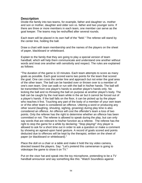#### **Description**

Divide the family into two teams, for example, father and daughter vs. mother and son or mother, daughter and older son vs. father and two younger sons. If there are three or more members in each team, one member can serve as the goal keeper. The teams may be reshuffled after several rounds.

Each team will be placed in its own half of the "field." The referee will stand by the center line, holding the ball.

Draw a chart with team membership and the names of the players on the sheet of paper, blackboard or whiteboard.

Explain to the family that they are going to play a special version of team handball, which will help them communicate and understand one another without words and treat one another with sensitivity and respect. The rules are explained as follows:

"The duration of the game is 10 minutes. Each team attempts to score as many goals as possible. Each goal scored earns two points for the team that scored the goal. One can cross the center line and approach but not enter the goal area of the other team. The ball can be handed over or thrown over to a member of one's own team. One can walk or run with the ball in his/her hands. The ball will be transmitted from one player's hands to another player's hands only. No kicking the ball and no throwing the ball on purpose at another player's body. The ball can be caught by the rival team while in the air but it cannot be forced out of a player's hands. If the ball falls on the floor, it can be picked up by the player who reaches it first. Touching any part of the body of a member of your own team or of the other team is considered an offence. Uttering a word or producing any other sound (laughing, shouting, sighing, groaning) during play time is also considered an offence. An offence will cost the offender's team a loss of two points. Only the referee has the right to determine whether an offence has been committed or not. The referee is allowed to speak during the play, but can only say words that are relevant to his/her function as a referee. The referee has the right to stop the game for a while by declaring: "Stop playing!" Any player is allowed to ask for a short time out in order to ask a question or make a comment by showing an agreed-upon hand gesture. A record of goals scored and points deducted due to offences will be kept by the therapist, written on the sheet of paper (or blackboard or whiteboard)."

Place the doll on a chair or a table and make it hold the toy video camera, directed toward the players. Say: "Let's pretend this cameraman is going to videotape the game to show it on TV."

Put on the visor hat and speak into the toy microphone, pretending to be a TV handball announcer and say something like this: "Watch Soundless against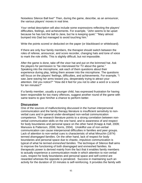Noiseless Silence Ball live!" Then, during the game, describe, as an announcer, the various players' moves in real time.

Your verbal description will also include some expressions reflecting the players' difficulties, feelings, and achievements. For example, "John seems to be upset because he has lost the ball to Jane, but he is keeping quiet." "Mary almost bumped into Dad but managed to avoid touching him."

Write the points scored or deducted on the paper (or blackboard or whiteboard).

If there are only four family members, the therapist should switch between the roles of referee, announcer, and score recorder, changing hats and tone of voice to mark the role shifts. This is slightly difficult, but not impossible.

After the game is done, take off the visor hat and put on the brimmed hat. Ask the players for permission to "be interviewed for TV about the game." Speaking into the microphone, ask each of them questions about their experience during play, letting them answer into the microphone. The questions will focus on the players' feelings, difficulties, and achievements. For example, "I saw Jane waving her arms toward you, desperately trying to attract your attention. Did you notice?" "How did it feel for you not to utter a word or a sound for ten minutes?"

If a family member, usually a younger child, has expressed frustration for having been responsible for too many offences, suggest another round of the game with same teams to give him/her a chance to perform better.

#### **Discussion**

One of the sources of malfunctioning discussed in the human interpersonal communication and the family therapy literature is insufficient sensitivity to nonverbal cues and in general under-developed non-verbal communication competence. The research literature points to a strong correlation between nonverbal communication skills on the one hand, and to awareness of and respect for body boundaries and personal space on the other hand (Knapp & Hall, 2009; Manusov & Patterson, 2006; Norris, 2004). Unskillful use of non-verbal communication can cause interpersonal difficulties in families and peer groups. Lack of attention to non-verbal cues is characteristic of what Minuchin (1974) termed *disengaged families*. On the other hand, lack of respect for body boundaries and personal space due to chaotic, impulsive communication is typical of what he termed *enmeshed families*. The technique of Silence Ball aims to improve the functioning of both disengaged and enmeshed families. Its therapeutic power is derived mainly from the fact that it enables family members to actually experience a communication mode in which attention to non-verbal cues, respect for body boundaries and personal space and self-control are rewarded whereas the opposite is penalized. Success in maintaining such an activity for the duration of 10 minutes is self-reinforcing. It provides the family with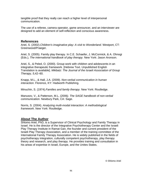tangible proof that they really can reach a higher level of interpersonal communication.

The use of a referee, camera operator, game announcer, and an interviewer are designed to add an element of self-reflection and conscious awareness.

#### **References**

Ariel, S. (2002).*Children's imaginative play: A visit to Wonderland*. Westport, CT: Greenwood/Praeger.

Ariel, S. (2005). Family play therapy. In C.E. Schaefer, J. McCormick, & A. Ohnogi (Eds.), *The international handbook of play therapy.* New York: Jason Aronson.

Ariel, S., & Peled, O. (2000). Group work with children and adolescents in an integrative therapeutic framework. [Hebrew Text. Unpublished English Translation is available]. *Mikbatz*: *The Journal of the Israeli Association of Group Therapy, 5*,42–60.

Knapp, M.L., & Hall, J.A. (2009). *Non-verbal communication in human interaction*. Florence, KY: Hadworth Publishing.

Minuchin, S. (1974).*Families and family therapy.* New York: Routledge.

Manusov, V., & Patterson, M.L. (2006*). The SAGE handbook of non-verbal communication*. Newbury Park, CA: Sage.

Norris, S. (2004). *Analyzing multi-modal interaction: A methodological framework*. New York: Routledge.

## **About The Author**

Shlomo Ariel, PhD, is a Supervisor of Clinical Psychology and Family Therapy in Israel. He is the director of the Integrative Psychotherapy Center and the Israeli Play Therapy Institute in Ramat Gan, the founder and current president of the Israeli Play Therapy Association, and a member of the training committee of the International Family Therapy Association. He is widely published in the fields of psychotherapy integration, culturally competent psychotherapy, play therapy theory and research, and play therapy. He provides training and consultation in his areas of expertise in Israel, Europe, and the Unites States.

© Shlomo Ariel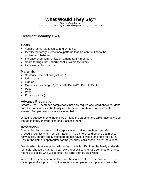# **What Would They Say?**

Source: Greg Lubimiv Published in *Creative Family Therapy Techniques* Edited by Lowenstein, 2010

## **Treatment Modality:** Family

#### **Goals**

- Assess family relationships and dynamics
- Identify the family interactional patterns that are contributing to the problematic behavior
- Increase open communication among family members
- Share feelings that underlie conflict within the family
- Increase family cohesion

## **Materials**

- Sentence Completions (included)
- Index cards
- Marker
- Game such as Jenga™, Crocodile Dentist™, Pop Up Pirate™
- Paper
- Pens
- Prizes (optional)

## **Advance Preparation**

Create 20 to 30 sentence completions that only require one-word answers. Make sure the questions suit the family members and that there is a reasonable answer. Sample questions are included below.

Write the questions onto index cards. Place the cards on the table, face down, so that each family member can easily access them.

## **Description**

The family plays a game that incorporates turn taking, such as Jenga™, Crocodile Dentist™, or Pop Up Pirate™. The game should be one that moves fairly quickly so that family members do not have to wait a long time for a turn. Ensure the game is appropriate for the youngest child as well as for the oldest.

Decide which family member will go first. If this is difficult for the family to decide, roll a die, choose a number, play rock paper scissors, or use some other chance method to decide who will go first. The turns then go clockwise.

When a turn is over because the tower has fallen or the pirate has popped, that player picks the top card from the sentence completion card pile and reads the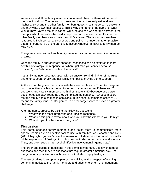sentence aloud. If the family member cannot read, then the therapist can read the question aloud. The person who selected the card secretly writes down his/her answer and the other family members guess what that person's answer is and they write down their guesses. This is why the name of the game is "What Would They Say?" If the child cannot write, he/she can whisper the answer to the therapist who then writes the child's response on a piece of paper. Ensure the other family members cannot see the child's answer. The responses are then read aloud. Each correct answer scores one point. It is important to emphasize that an important rule of the game is to accept whatever answer a family member may give.

The game continues until each family member has had a predetermined number of turns.

Once the family is appropriately engaged, responses can be explored in more depth. For example, in response to "When I get mad you can tell because I…shout", ask "Who else shouts in the family?"

If a family member becomes upset with an answer, remind him/her of the rules and offer support, or ask another family member to provide some support.

At the end of the game the person with the most points wins. To make the game noncompetitive, challenge the family to reach a certain score. If there are 20 questions and 4 family members the highest score is 60 (because one person does not guess each round as they completed the sentence). Choose a score that the family has a chance in achieving. In this case, a combined score of 30 means the family wins. In later games, raise the target score to provide a greater challenge.

After the game, process by asking the following questions:

- 1. What was the most interesting or surprising response?
- 2. What did this game reveal about who you know best/least in your family?
- 3. What did you like best about this game?

#### **Discussion**

This game engages family members and helps them to communicate more openly. Games are an effective tool to use with families. As Schaefer and Reid (2001) highlight, games "invite the relaxation of defenses that would normally inhibit expression of feelings, thoughts, and attitudes in normal social discourse. Thus, one often sees a high level of affective involvement in game play."

The order and pacing of questions in this game is important. Begin with neutral questions and then move to questions that require greater emotional risk. End the game on a positive note with questions that elicit happy feelings.

The use of prizes is an optional part of the activity, as the prospect of winning something motivates the family members and adds an element of engagement.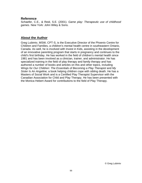#### **Reference**

Schaefer, C.E., & Reid, S.E. (2001). *Game play: Therapeutic use of childhood games.* New York: John Wiley & Sons.

## **About the Author**

Greg Lubimiv, MSW, CPT-S, is the Executive Director of the Phoenix Centre for Children and Families, a children's mental health centre in southeastern Ontario, Canada. As well, he is involved with Invest in Kids, assisting in the development of an innovative parenting program that starts in pregnancy and continues to the child's first birthday. He has worked in the field of children's mental health since 1981 and has been involved as a clinician, trainer, and administrator. He has specialized training in the field of play therapy and family therapy and has authored a number of books and articles on this and other topics, including *Wings for Our Children: The Essentials of Becoming a Play Therapist* and *My Sister Is An Angeline,* a book helping children cope with sibling death. He has a Masters of Social Work and is a Certified Play Therapist Supervisor with the Canadian Association for Child and Play Therapy. He has been presented with the Monica Hebert Award for contributions to the field of Play Therapy.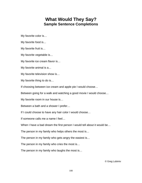## **What Would They Say? Sample Sentence Completions**

My favorite color is…

My favorite food is…

My favorite fruit is…

My favorite vegetable is…

My favorite ice cream flavor is…

My favorite animal is a…

My favorite television show is…

My favorite thing to do is…

If choosing between ice cream and apple pie I would choose…

Between going for a walk and watching a good movie I would choose…

My favorite room in our house is…

Between a bath and a shower I prefer…

If I could choose to have any hair color I would choose…

If someone calls me a name I feel…

When I have a bad dream the first person I would tell about it would be…

The person in my family who helps others the most is…

The person in my family who gets angry the easiest is…

The person in my family who cries the most is…

The person in my family who laughs the most is…

© Greg Lubimiv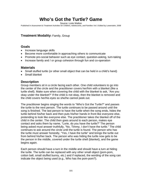## **Who's Got the Turtle? Game**

Source: Lorie Walton

Published in Assessment & Treatment Activities for Children, Adolescents, and Families Vol 1 Edited by Lowenstein, 2008

#### **Treatment Modality:** Family, Group

#### **Goals**

- Increase language skills
- Become more comfortable in approaching others to communicate
- Promote pro-social behavior such as eye contact, question-asking, turn-taking
- Increase family and / or group cohesion through fun and co-operation

#### **Materials**

- Small stuffed turtle (or other small object that can be held in a child's hand)
- Small blanket

#### **Description**

Group members sit in a circle facing each other. One child volunteers to go into the center of the circle and the practitioner covers her/him with a blanket (like a turtle shell). Make sure when covering the child with the blanket to ask, "Are you okay under the blanket?" If the child is not okay, then the blanket is removed and the child covers her/his eyes so she/he cannot peek out.

The practitioner begins singing the words to "Who's Got the Turtle?" and passes the turtle to the next person. The turtle continues to be passed around until the song is finished. The last person to have the turtle when the song ends, hides the turtle behind his/her back and then puts his/her hands in front like everyone else, pretending to look like everyone else. The practitioner takes the blanket off of the child in the center. The child then goes around to each person, makes eye contact and asks them by name, "Lorie, do you have the turtle?" The person being asked must answer truthfully, "No, Timmy, I don't have the turtle." The child continues to ask around the circle until the turtle is found. The person who has the turtle must answer honestly, "Yes, I have the turtle" and brings the turtle out from behind his/her back. The person who was hiding the turtle now gets to be the person in the middle, covered under the turtle shell (blanket), and the game begins again.

Each person should have a turn in the middle and should have a turn at hiding the turtle. The turtle can be replaced with any other small object (pom-pom, cotton ball, small stuffed bunny, etc.) and if replaced, the wording of the song can indicate the object being used (e.g., Who has the pom-pom?).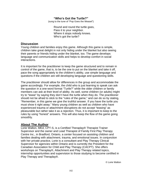#### **"Who's Got the Turtle?"**

(sung to the tune of "Pop Goes the Weasel")

Round and round the turtle goes, Pass it to your neighbor. Where it stops nobody knows. Who's got the turtle?

#### **Discussion**

Young children and families enjoy this game. Although this game is simple, children take great delight in not only hiding under the blanket but also seeing their parents or friends hiding under the blanket, too. The game develops language and communication skills and helps to develop comfort in social interactions.

It is important for the practitioner to keep the game structured and to remain in control of the game, that is, to be the one to put on the blanket and take it off, pace the song appropriately to the children's ability, use simple language and questions if the children are still developing language and questioning skills.

The practitioner should allow for differences in the group and accommodate the game accordingly. For example, the child who is just learning to speak can ask the question in a one-word format "Turtle?" while the older children or family members can ask at their level of ability. As well, some children (or adults) might try to "tease" by saying they don't have the turtle when they do. The practitioner should not be afraid to stick to the "rules of the game," and can do so by stating, "Remember, in this game we give the truthful answer. If you have the turtle you must show it right away." Many young children as well as children who have experienced trauma or attachment disruptions do not accept "teasing" as pleasurable but rather take it as a rejection. Thus, it is important to keep to the rules by using "honest" answers. This will also keep the flow of the game going smoothly.

## **About The Author**

Lorie Walton, MEd, CPT-S, is a Certified Theraplay® Therapist Trainer Supervisor and the owner and Lead Therapist of Family First Play Therapy Centre Inc., in Bradford, Ontario, a center focused on assisting children and families dealing with attachment, trauma, and emotional issues. In conjunction with her private practice, Lorie is a consultant and Play Therapy Clinical Supervisor for agencies within Ontario and is currently the President for the Canadian Association for Child and Play Therapy (CACPT). She offers workshops on Theraplay®, Attachment and Play Therapy related topics, internship opportunities and supervision to those studying to become certified in Play Therapy and Theraplay®.

© Lorie Walton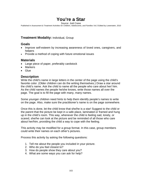## **You're a Star**

Source: Jodi Crane

Published in Assessment & Treatment Activities for Children, Adolescents, and Families Vol 2 Edited by Lowenstein, 2010

### **Treatment Modality:** Individual, Group

#### **Goals**

- Improve self-esteem by increasing awareness of loved ones, caregivers, and helpers
- Provide a method of coping with future emotional issues

### **Materials**

- Large piece of paper, preferably cardstock
- Markers
- Glue

#### **Description**

Write the child's name in large letters in the center of the page using the child's favorite color. (Older children can do the writing themselves.) Draw a star around the child's name. Ask the child to name all the people who care about her/ him. As the child names the people he/she knows, write those names all over the page. The goal is to fill the page with many, many names.

Some younger children need hints to help them identify people's names to write on the page. Also, make sure the practitioner's name is on the page somewhere.

Once this is done, let the child know that she/he is a star! Suggest to the child or the parent that the picture be kept in a safe place, laminated or framed and hung up in the child's room. This way, whenever the child is feeling sad, lonely, or scared, she/he can look at the picture and be reminded of all those who care about her/him, providing the child a way to cope with the feeling.

This activity may be modified for a group format. In this case, group members could write their names on each other's pictures.

Process this activity by asking the following questions:

- 1. Tell me about the people you included in your picture.
- 2. Who do you feel closest to?
- 3. How do people show they care about you?
- 4. What are some ways you can ask for help?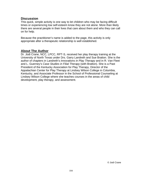#### **Discussion**

This quick, simple activity is one way to let children who may be facing difficult times or experiencing low self-esteem know they are not alone. More than likely there are several people in their lives that care about them and who they can call on for help.

Because the practitioner's name is added to the page, this activity is only appropriate after a therapeutic relationship is well established.

### **About The Author**

Dr. Jodi Crane, NCC, LPCC, RPT-S, received her play therapy training at the University of North Texas under Drs. Garry Landreth and Sue Bratton. She is the author of chapters in Landreth's *Innovations in Play Therapy* and in R. Van Fleet and L. Guerney's *Case Studies in Filial Therapy* (with Bratton). She is a Past President of the Kentucky Association for Play Therapy, Director of the Appalachian Center for Play Therapy at Lindsey Wilson College in Columbia, Kentucky, and Associate Professor in the School of Professional Counseling at Lindsey Wilson College where she teaches courses in the areas of child development, play therapy, and assessment.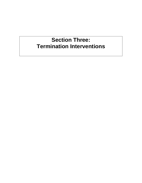# **Section Three: Termination Interventions**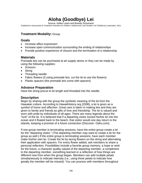## **Aloha (Goodbye) Lei**

Source: Kellen Lewis and Brandy Schumann

Published in Assessment & Treatment Activities for Children, Adolescents, and Families Vol 3 Edited by Lowenstein, 2011

## **Treatment Modality:** Group

#### **Goals**

- Increase affect expression
- Increase open communication surrounding the ending of relationships
- Provide positive experience of closure and the termination of a relationship

#### **Materials**

Premade leis can be purchased at art supply stores or they can be made by using the following supplies:

- Scissors
- String
- Threading needle
- Fabric flowers (if using premade leis, cut the lei to use the flowers)
- Plastic spacers (the premade leis come with spacers)

#### **Advance Preparation**

Have the string precut to lei length and threaded into the needle.

## **Description**

Begin by sharing with the group the symbolic meaning of the lei from the Hawaiian culture. According to HawaiiHistory.org (2008), a lei is given as a symbol of honor and affection. Great care is taken in making leis and they are given to family and friends as gifts of love and friendship. The lei is valued and worn with pride by individuals of all ages. There are many legends about the "luck" of the lei. It is believed that if a departing visitor tossed his/her lei into the ocean and it floated back to the beach, that visitor would one day return to the islands, keeping a promise of a future connection (Discover- Oahu.com).

If one group member is terminating sessions, have the entire group create a lei for the "departing visitor." (The departing member may want to create a lei for the group as well.) If the entire group is terminating sessions, have each member make his/her own lei. Create the lei by lacing flowers on the string and alternating their application with spacers. For every flower added, ask members to share a personal reflection. Possibilities include a favorite group memory, a hope or wish for the future, a character quality valued of the departing member, a compliment to the departing member, something learned or a reflection of how things are different now from when the group began. Members can add multiple petals simultaneously to indicate intensity (i.e., using three petals to indicate how greatly the member will be missed). You can process with members throughout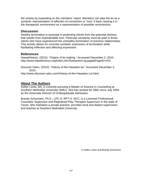the activity by expanding on the members' report. Members can take the lei as a symbolic representation of affection of connection or "toss" it back, leaving it in the therapeutic environment as a representation of possible reconnection.

#### **Discussion**

Healthy termination is essential in protecting clients from the potential distress that results from unpredictable loss. Particular sensitivity must be paid to those clients who have experienced the unhealthy termination of previous relationships. This activity allows for concrete symbolic expression of termination while facilitating reflection and affecting expression.

#### **References**

HawaiiHistory. (2010). "Origins of lei making*."* Accessed December 2, 2010, http://www.hawaiihistory.org/index.cfm?fuseaction=ig.page&PageID=423.

Discover-Oahu. (2010). "History of the Hawaiian lei." Accessed December 2, 2010,

http://www.discover-oahu.com/History-of-the-Hawaiian-Lei.html.

## **About The Authors**

Kellen Lewis, BA, is currently pursuing a Master of Science in Counseling at Southern Methodist University (SMU). She has worked for SMU since July 2004 as the Associate Director of Undergraduate Admission.

Brandy Schumann, Ph.D., LPC-S, RPT-S, NCC, is a Licensed Professional Counselor Supervisor and Registered Play Therapist Supervisor in the state of Texas. She maintains a private practice, provides local and distant supervision, and teaches at Southern Methodist University.

© Kellen Lewis and Brandy Schumann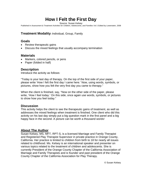## **How I Felt the First Day**

Source: Susan Kelsey

Published in Assessment & Treatment Activities for Children, Adolescents, and Families Vol 1 Edited by Lowenstein, 2008

**Treatment Modality:** Individual, Group, Family

## **Goals**

- Review therapeutic gains
- Discuss the mixed feelings that usually accompany termination

## **Materials**

- Markers, colored pencils, or pens
- Paper (folded in half)

#### **Description**

Introduce the activity as follows:

"Today is your last day of therapy. On the top of the first side of your paper, please write 'How I felt the first day I came here.' Now, using words, symbols, or pictures, show how you felt the very first day you came to therapy."

When the client is finished, say, "Now on the other side of the paper, please write, 'How I feel today.' On this side, once again use words, symbols, or pictures to show how you feel today."

## **Discussion**

This activity helps the client to see the therapeutic gains of treatment, as well as addresses the mixed feelings when treatment is finished. One client who did this activity on his last day simply put a big question mark in the first panel and a big happy face in the second. A picture can be worth a thousand words!

## **About The Author**

Susan Kelsey, MS, MFT, RPT-S, is a licensed Marriage and Family Therapist and Registered Play Therapist Supervisor in private practice in Orange County, California. Her practice is limited to children from birth to 18 for nearly all issues related to childhood. Ms. Kelsey is an international speaker and presenter on various topics related to the treatment of children and adolescents. She is currently President of the Orange County Chapter of the California Association of Marriage and Family Therapists and is founder and past president of the Orange County Chapter of the California Association for Play Therapy.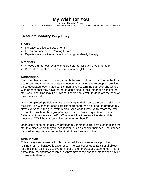## **My Wish for You**

Source: Abbie M. Flinner

Published in Assessment & Treatment Activities for Children, Adolescents, and Families Vol 2 Edited by Lowenstein, 2010

#### **Treatment Modality:** Group, Family

#### **Goals**

- Increase positive self-statements
- Encourage compassion/caring for others
- Experience a positive termination from group/family therapy

### **Materials**

- A wood star cut-out (available at craft stores) for each group member
- Decorative supplies such as paint, markers, glitter, etc.

#### **Description**

 Each member is asked to write (or paint) the words My Wish for You on the front of the star, and then to decorate the wooden star using the art supplies provided. Once decorated, each participant is then asked to turn the star over and write a wish or hope that they have for the person sitting to their left on the back of the star. Additional time may be provided if participants want to decorate the back of their stars as well.

When completed, participants are asked to give their star to the person sitting on their left. The wishes for each participant are then read aloud to the group/family. Next, everyone in the group/family discusses what it was like to create the star and make a wish for their group/family member. Process questions include, "What emotions were evoked?" "What was it like to receive the star and its message?" "Will the star be a nice reminder for them?"

Upon completion of the activity, group/family members are instructed to place the star in a place where they will see it often, such as beside their bed. The star can be used to help them to remember that others care about them.

## **Discussion**

This activity can be used with children or adults and serves as a positive reminder of the therapeutic experience. The star becomes a transitional object for the clients, as it is a positive reminder of their therapeutic experience. This is particularly important for children, as they may sense abandonment when having to terminate therapy.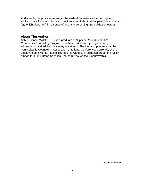Additionally, the positive message (the wish) demonstrates the participant's ability to care for others, but also provides a reminder that the participant is cared for, which gives her/him a sense of love and belonging and builds self-esteem.

## **About The Author**

Abbie Flinner, MACC, NCC, is a graduate of Slippery Rock University's Community Counseling Program. She has worked with young children, adolescents, and adults in a variety of settings. She has also presented at the Pennsylvania Counseling Association's National Conference. Currently, she is employed as a Mental Health Therapist at Caritas, a residential treatment facility funded through Human Services Center in New Castle, Pennsylvania.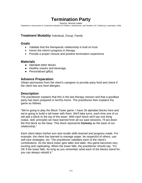## **Termination Party**

Source: Norma Leben

Published in Assessment & Treatment Activities for Children, Adolescents, and Families Vol 1 Edited by Lowenstein, 2008

#### **Treatment Modality:** Individual, Group, Family

#### **Goals**

- Validate that the therapeutic relationship is built on trust
- Honor the client's progress in therapy
- Provide a proper closure and positive termination experience

#### **Materials**

- Alphabet letter blocks
- Healthy snacks and beverage
- Personalized gift $(s)$

#### **Advance Preparation**

Obtain permission from the client's caregiver to provide party food and check if the client has any food allergies.

#### **Description**

The practitioner explains that this is the last therapy session and that a goodbye party has been prepared in her/his honor. The practitioner then explains the game as follows:

"We're going to play the Block Tower game. I have 26 alphabet blocks here and we're going to build a tall tower with them. We'll take turns, each time one of us will add a block to the top of the tower. With each block we'll say one thing (value, skill, principle) we have learned from all our past sessions. I'll put down the first block as the base. This block represents **honesty** as the base of our relationship."

Each client takes his/her turn and recalls skills learned and progress made. For example, the client has learned to manage anger, be respectful of others, use self-care strategies, etc. The practitioner validates each of the client's contributions. As the block tower gets taller and taller, this game becomes very exciting and captivating. When the tower falls, the practitioner should say, "It's OK if the tower falls. As long as you remember what each of the blocks stand for, you can always rebuild it."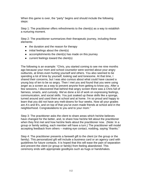When this game is over, the "party" begins and should include the following steps:

Step 1: The practitioner offers refreshments to the client(s) as a way to establish a nurturing moment.

Step 2: The practitioner summarizes their therapeutic journey, including these elements:

- $\bullet$  the duration and the reason for therapy
- $\bullet$  initial feelings about the client(s)
- $\bullet$  accomplishments the client(s) has made on this journey
- $\bullet$  current feelings toward the client(s)

The following is an example: "Chris, you started coming to see me nine months ago because your mom and school counselor were worried about your angry outbursts, at times even hurting yourself and others. You also seemed to be spending a lot of time by yourself, looking sad and lonesome. At that time, I shared their concerns, but I was also curious about what could have caused a young boy of ten to be so angry. Then I met you and found that you were using anger as a screen as a way to prevent anyone from getting to know you. After a few sessions, I discovered that behind that angry screen there was a Chris full of fairness, smarts, and curiosity. We've done a lot of work on expressing feelings, communication, and social skills. You just soaked up these skills like a sponge, turned around and used them at school and at home. I'm so proud and happy to learn that you did not have any melt-downs for four weeks. Now all your grades are A's and B's, and on top of that you've even made friends at school and in the neighborhood. Congratulations to you and to your mom."

Step 3: The practitioner asks the client to share areas which he/she believes have changed for the better, and, to share how he/she felt about the practitioner when they first met and how he/she feels about the practitioner now. (Note: In a group or family setting, each member will have a turn.) The practitioner will model accepting feedback from others – making eye contact, nodding, saying "thanks."

Step 4: The practitioner presents a farewell gift to the client (or the group or the family). This personalized gift will include a business card or an agency card with guidelines for future contacts. It is hoped that this will ease the pain of separation and prevent the client (or group or family) from feeling abandoned. This ceremony ends with appropriate goodbyes such as hugs or handshakes.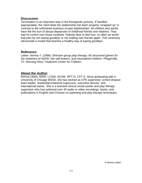#### **Discussion**

Termination is an important step in the therapeutic process. If handled appropriately, the client feels the relationship has been properly "wrapped up" in contrast to the unfinished business of past relationships. All children and adults have felt the hurt of abrupt departures of childhood friends and relatives. They had no control over those incidents. Nobody likes to feel hurt, so often we avoid that pain by not saying goodbye or not making new friends again. This ceremony will provide a model that teaches a healthy way of saying goodbye.

#### **Reference**

Leben, Norma Y. (1999). *Directive group play therapy: 60 structured games for the treatment of ADHD, low self-esteem, and traumatized children*. Pflugerville, TX. Morning Glory Treatment Center for Children.

#### **About the Author**

Norma Leben, MSW, LCSW, ACSW, RPT-S, CPT-S, Since graduating with a University of Chicago MSSA, she has worked as CPS supervisor, school dropout team leader, residential treatment supervisor, executive director, and international trainer. She is a licensed clinical social worker and play therapy supervisor who has authored over 45 audio or video recordings, books, and publications in English and Chinese on parenting and play therapy techniques.